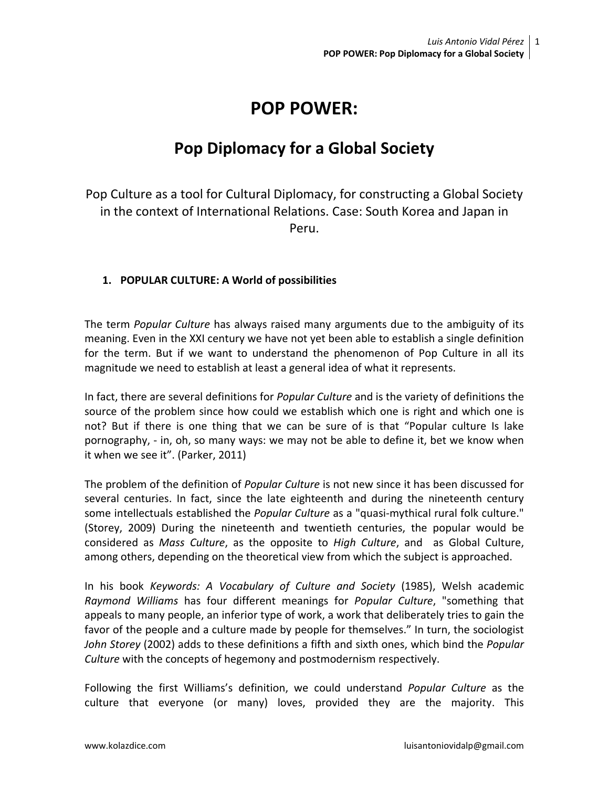# **POP POWER:**

# **Pop Diplomacy for a Global Society**

Pop Culture as a tool for Cultural Diplomacy, for constructing a Global Society in the context of International Relations. Case: South Korea and Japan in Peru.

### **1. POPULAR CULTURE: A World of possibilities**

The term *Popular Culture* has always raised many arguments due to the ambiguity of its meaning. Even in the XXI century we have not yet been able to establish a single definition for the term. But if we want to understand the phenomenon of Pop Culture in all its magnitude we need to establish at least a general idea of what it represents.

In fact, there are several definitions for *Popular Culture* and is the variety of definitions the source of the problem since how could we establish which one is right and which one is not? But if there is one thing that we can be sure of is that "Popular culture Is lake pornography, - in, oh, so many ways: we may not be able to define it, bet we know when it when we see it". (Parker, 2011)

The problem of the definition of *Popular Culture* is not new since it has been discussed for several centuries. In fact, since the late eighteenth and during the nineteenth century some intellectuals established the *Popular Culture* as a "quasi-mythical rural folk culture." (Storey, 2009) During the nineteenth and twentieth centuries, the popular would be considered as *Mass Culture*, as the opposite to *High Culture*, and as Global Culture, among others, depending on the theoretical view from which the subject is approached.

In his book *Keywords: A Vocabulary of Culture and Society* (1985), Welsh academic *Raymond Williams* has four different meanings for *Popular Culture*, "something that appeals to many people, an inferior type of work, a work that deliberately tries to gain the favor of the people and a culture made by people for themselves." In turn, the sociologist *John Storey* (2002) adds to these definitions a fifth and sixth ones, which bind the *Popular Culture* with the concepts of hegemony and postmodernism respectively.

Following the first Williams's definition, we could understand *Popular Culture* as the culture that everyone (or many) loves, provided they are the majority. This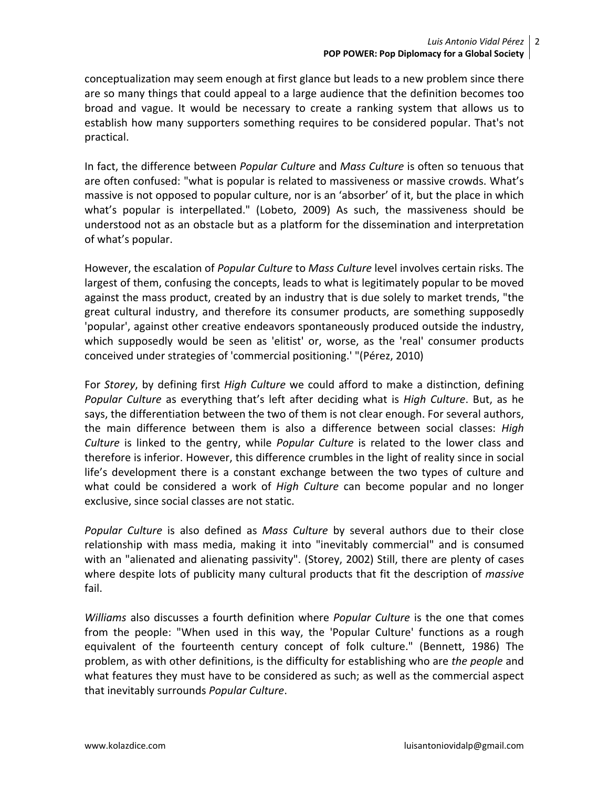conceptualization may seem enough at first glance but leads to a new problem since there are so many things that could appeal to a large audience that the definition becomes too broad and vague. It would be necessary to create a ranking system that allows us to establish how many supporters something requires to be considered popular. That's not practical.

In fact, the difference between *Popular Culture* and *Mass Culture* is often so tenuous that are often confused: "what is popular is related to massiveness or massive crowds. What's massive is not opposed to popular culture, nor is an 'absorber' of it, but the place in which what's popular is interpellated." (Lobeto, 2009) As such, the massiveness should be understood not as an obstacle but as a platform for the dissemination and interpretation of what's popular.

However, the escalation of *Popular Culture* to *Mass Culture* level involves certain risks. The largest of them, confusing the concepts, leads to what is legitimately popular to be moved against the mass product, created by an industry that is due solely to market trends, "the great cultural industry, and therefore its consumer products, are something supposedly 'popular', against other creative endeavors spontaneously produced outside the industry, which supposedly would be seen as 'elitist' or, worse, as the 'real' consumer products conceived under strategies of 'commercial positioning.' "(Pérez, 2010)

For *Storey*, by defining first *High Culture* we could afford to make a distinction, defining *Popular Culture* as everything that's left after deciding what is *High Culture*. But, as he says, the differentiation between the two of them is not clear enough. For several authors, the main difference between them is also a difference between social classes: *High Culture* is linked to the gentry, while *Popular Culture* is related to the lower class and therefore is inferior. However, this difference crumbles in the light of reality since in social life's development there is a constant exchange between the two types of culture and what could be considered a work of *High Culture* can become popular and no longer exclusive, since social classes are not static.

*Popular Culture* is also defined as *Mass Culture* by several authors due to their close relationship with mass media, making it into "inevitably commercial" and is consumed with an "alienated and alienating passivity". (Storey, 2002) Still, there are plenty of cases where despite lots of publicity many cultural products that fit the description of *massive* fail.

*Williams* also discusses a fourth definition where *Popular Culture* is the one that comes from the people: "When used in this way, the 'Popular Culture' functions as a rough equivalent of the fourteenth century concept of folk culture." (Bennett, 1986) The problem, as with other definitions, is the difficulty for establishing who are *the people* and what features they must have to be considered as such; as well as the commercial aspect that inevitably surrounds *Popular Culture*.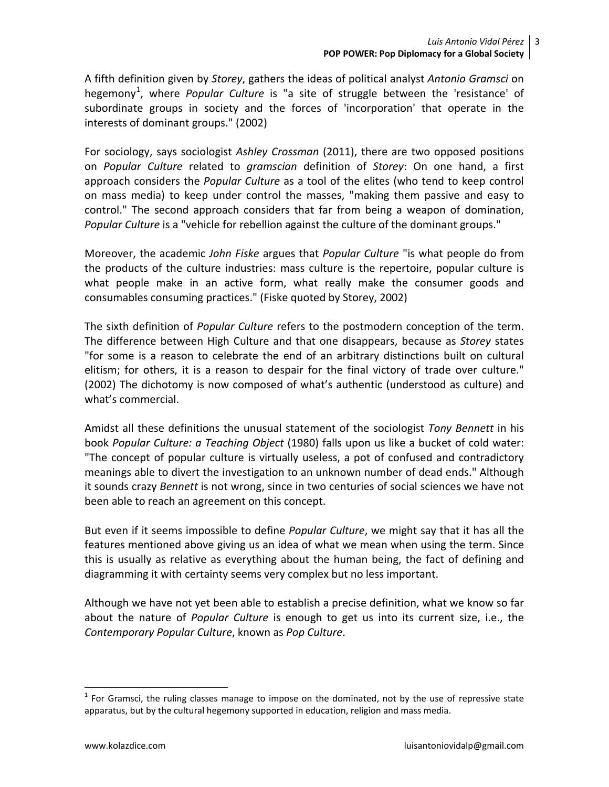A fifth definition given by *Storey*, gathers the ideas of political analyst *Antonio Gramsci* on hegemony<sup>[1](#page-2-0)</sup>, where *Popular Culture* is "a site of struggle between the 'resistance' of subordinate groups in society and the forces of 'incorporation' that operate in the interests of dominant groups." (2002)

For sociology, says sociologist *Ashley Crossman* (2011), there are two opposed positions on *Popular Culture* related to *gramscian* definition of *Storey*: On one hand, a first approach considers the *Popular Culture* as a tool of the elites (who tend to keep control on mass media) to keep under control the masses, "making them passive and easy to control." The second approach considers that far from being a weapon of domination, *Popular Culture* is a "vehicle for rebellion against the culture of the dominant groups."

Moreover, the academic *John Fiske* argues that *Popular Culture* "is what people do from the products of the culture industries: mass culture is the repertoire, popular culture is what people make in an active form, what really make the consumer goods and consumables consuming practices." (Fiske quoted by Storey, 2002)

The sixth definition of *Popular Culture* refers to the postmodern conception of the term. The difference between High Culture and that one disappears, because as *Storey* states "for some is a reason to celebrate the end of an arbitrary distinctions built on cultural elitism; for others, it is a reason to despair for the final victory of trade over culture." (2002) The dichotomy is now composed of what's authentic (understood as culture) and what's commercial.

Amidst all these definitions the unusual statement of the sociologist *Tony Bennett* in his book *Popular Culture: a Teaching Object* (1980) falls upon us like a bucket of cold water: "The concept of popular culture is virtually useless, a pot of confused and contradictory meanings able to divert the investigation to an unknown number of dead ends." Although it sounds crazy *Bennett* is not wrong, since in two centuries of social sciences we have not been able to reach an agreement on this concept.

But even if it seems impossible to define *Popular Culture*, we might say that it has all the features mentioned above giving us an idea of what we mean when using the term. Since this is usually as relative as everything about the human being, the fact of defining and diagramming it with certainty seems very complex but no less important.

Although we have not yet been able to establish a precise definition, what we know so far about the nature of *Popular Culture* is enough to get us into its current size, i.e., the *Contemporary Popular Culture*, known as *Pop Culture*.

<span id="page-2-0"></span> $1$  For Gramsci, the ruling classes manage to impose on the dominated, not by the use of repressive state apparatus, but by the cultural hegemony supported in education, religion and mass media.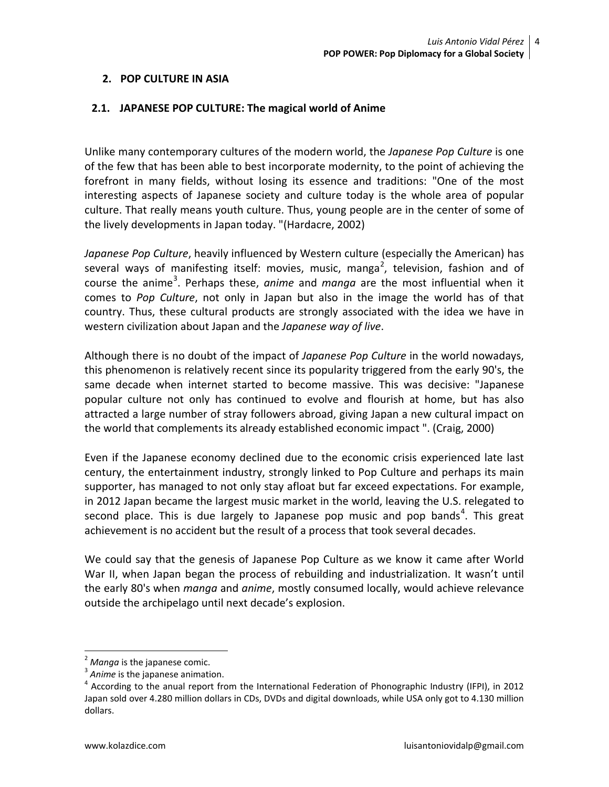#### **2. POP CULTURE IN ASIA**

#### **2.1. JAPANESE POP CULTURE: The magical world of Anime**

Unlike many contemporary cultures of the modern world, the *Japanese Pop Culture* is one of the few that has been able to best incorporate modernity, to the point of achieving the forefront in many fields, without losing its essence and traditions: "One of the most interesting aspects of Japanese society and culture today is the whole area of popular culture. That really means youth culture. Thus, young people are in the center of some of the lively developments in Japan today. "(Hardacre, 2002)

*Japanese Pop Culture*, heavily influenced by Western culture (especially the American) has several ways of manifesting itself: movies, music, manga<sup>[2](#page-3-0)</sup>, television, fashion and of course the anime<sup>[3](#page-3-1)</sup>. Perhaps these, *anime* and *manga* are the most influential when it comes to *Pop Culture*, not only in Japan but also in the image the world has of that country. Thus, these cultural products are strongly associated with the idea we have in western civilization about Japan and the *Japanese way of live*.

Although there is no doubt of the impact of *Japanese Pop Culture* in the world nowadays, this phenomenon is relatively recent since its popularity triggered from the early 90's, the same decade when internet started to become massive. This was decisive: "Japanese popular culture not only has continued to evolve and flourish at home, but has also attracted a large number of stray followers abroad, giving Japan a new cultural impact on the world that complements its already established economic impact ". (Craig, 2000)

Even if the Japanese economy declined due to the economic crisis experienced late last century, the entertainment industry, strongly linked to Pop Culture and perhaps its main supporter, has managed to not only stay afloat but far exceed expectations. For example, in 2012 Japan became the largest music market in the world, leaving the U.S. relegated to second place. This is due largely to Japanese pop music and pop bands<sup>[4](#page-3-2)</sup>. This great achievement is no accident but the result of a process that took several decades.

We could say that the genesis of Japanese Pop Culture as we know it came after World War II, when Japan began the process of rebuilding and industrialization. It wasn't until the early 80's when *manga* and *anime*, mostly consumed locally, would achieve relevance outside the archipelago until next decade's explosion.

<span id="page-3-2"></span>

<span id="page-3-1"></span><span id="page-3-0"></span><sup>&</sup>lt;sup>2</sup> *Manga* is the japanese comic.<br><sup>3</sup> *Anime* is the japanese animation.<br><sup>4</sup> According to the anual report from the International Federation of Phonographic Industry (IFPI), in 2012 Japan sold over 4.280 million dollars in CDs, DVDs and digital downloads, while USA only got to 4.130 million dollars.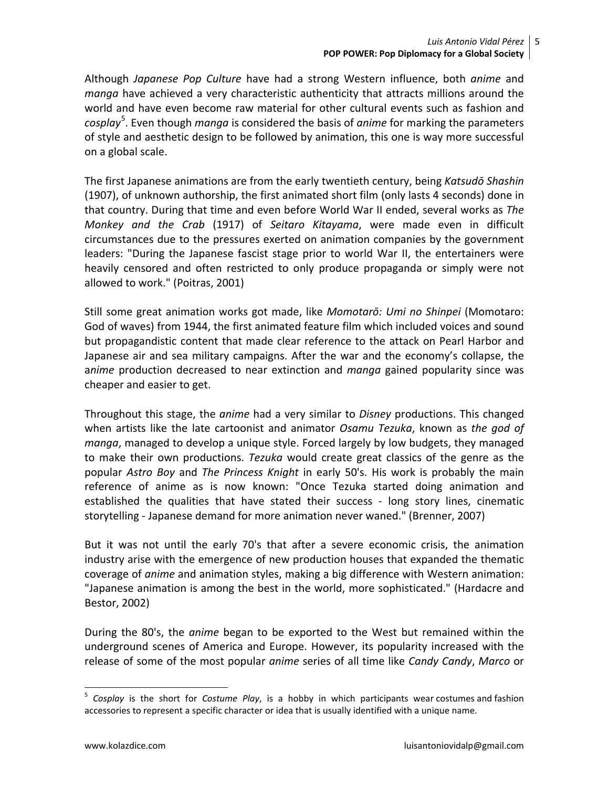Although *Japanese Pop Culture* have had a strong Western influence, both *anime* and *manga* have achieved a very characteristic authenticity that attracts millions around the world and have even become raw material for other cultural events such as fashion and *cosplay*[5](#page-4-0) . Even though *manga* is considered the basis of *anime* for marking the parameters of style and aesthetic design to be followed by animation, this one is way more successful on a global scale.

The first Japanese animations are from the early twentieth century, being *Katsudō Shashin* (1907), of unknown authorship, the first animated short film (only lasts 4 seconds) done in that country. During that time and even before World War II ended, several works as *The Monkey and the Crab* (1917) of *Seitaro Kitayama*, were made even in difficult circumstances due to the pressures exerted on animation companies by the government leaders: "During the Japanese fascist stage prior to world War II, the entertainers were heavily censored and often restricted to only produce propaganda or simply were not allowed to work." (Poitras, 2001)

Still some great animation works got made, like *Momotarō: Umi no Shinpei* (Momotaro: God of waves) from 1944, the first animated feature film which included voices and sound but propagandistic content that made clear reference to the attack on Pearl Harbor and Japanese air and sea military campaigns. After the war and the economy's collapse, the a*nime* production decreased to near extinction and *manga* gained popularity since was cheaper and easier to get.

Throughout this stage, the *anime* had a very similar to *Disney* productions. This changed when artists like the late cartoonist and animator *Osamu Tezuka*, known as *the god of manga*, managed to develop a unique style. Forced largely by low budgets, they managed to make their own productions. *Tezuka* would create great classics of the genre as the popular *Astro Boy* and *The Princess Knight* in early 50's. His work is probably the main reference of anime as is now known: "Once Tezuka started doing animation and established the qualities that have stated their success - long story lines, cinematic storytelling - Japanese demand for more animation never waned." (Brenner, 2007)

But it was not until the early 70's that after a severe economic crisis, the animation industry arise with the emergence of new production houses that expanded the thematic coverage of *anime* and animation styles, making a big difference with Western animation: "Japanese animation is among the best in the world, more sophisticated." (Hardacre and Bestor, 2002)

During the 80's, the *anime* began to be exported to the West but remained within the underground scenes of America and Europe. However, its popularity increased with the release of some of the most popular *anime* series of all time like *Candy Candy*, *Marco* or

<span id="page-4-0"></span> <sup>5</sup> *Cosplay* is the short for *Costume Play*, is a hobby in which participants wear [costumes](http://en.wikipedia.org/wiki/Costume) and [fashion](http://en.wikipedia.org/wiki/Fashion_accessory)  [accessories](http://en.wikipedia.org/wiki/Fashion_accessory) to represent a specific [character](http://en.wikipedia.org/wiki/Character_(arts)) or idea that is usually identified with a [unique name.](http://en.wikipedia.org/wiki/Proper_name)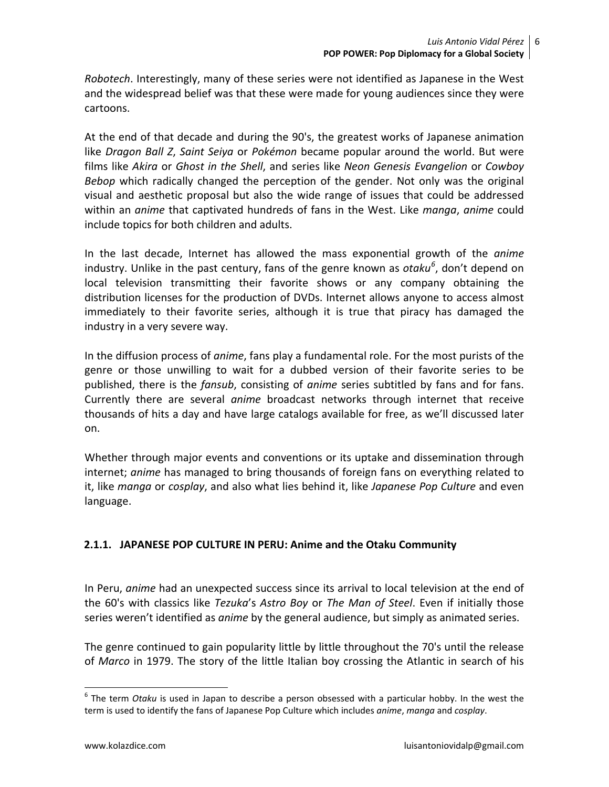*Robotech*. Interestingly, many of these series were not identified as Japanese in the West and the widespread belief was that these were made for young audiences since they were cartoons.

At the end of that decade and during the 90's, the greatest works of Japanese animation like *Dragon Ball Z*, *Saint Seiya* or *Pokémon* became popular around the world. But were films like *Akira* or *Ghost in the Shell*, and series like *Neon Genesis Evangelion* or *Cowboy Bebop* which radically changed the perception of the gender. Not only was the original visual and aesthetic proposal but also the wide range of issues that could be addressed within an *anime* that captivated hundreds of fans in the West. Like *manga*, *anime* could include topics for both children and adults.

In the last decade, Internet has allowed the mass exponential growth of the *anime* industry. Unlike in the past century, fans of the genre known as *otaku[6](#page-5-0)* , don't depend on local television transmitting their favorite shows or any company obtaining the distribution licenses for the production of DVDs. Internet allows anyone to access almost immediately to their favorite series, although it is true that piracy has damaged the industry in a very severe way.

In the diffusion process of *anime*, fans play a fundamental role. For the most purists of the genre or those unwilling to wait for a dubbed version of their favorite series to be published, there is the *fansub*, consisting of *anime* series subtitled by fans and for fans. Currently there are several *anime* broadcast networks through internet that receive thousands of hits a day and have large catalogs available for free, as we'll discussed later on.

Whether through major events and conventions or its uptake and dissemination through internet; *anime* has managed to bring thousands of foreign fans on everything related to it, like *manga* or *cosplay*, and also what lies behind it, like *Japanese Pop Culture* and even language.

## **2.1.1. JAPANESE POP CULTURE IN PERU: Anime and the Otaku Community**

In Peru, *anime* had an unexpected success since its arrival to local television at the end of the 60's with classics like *Tezuka*'s *Astro Boy* or *The Man of Steel*. Even if initially those series weren't identified as *anime* by the general audience, but simply as animated series.

The genre continued to gain popularity little by little throughout the 70's until the release of *Marco* in 1979. The story of the little Italian boy crossing the Atlantic in search of his

<span id="page-5-0"></span> <sup>6</sup> The term *Otaku* is used in Japan to describe a person obsessed with a particular hobby. In the west the term is used to identify the fans of Japanese Pop Culture which includes *anime*, *manga* and *cosplay*.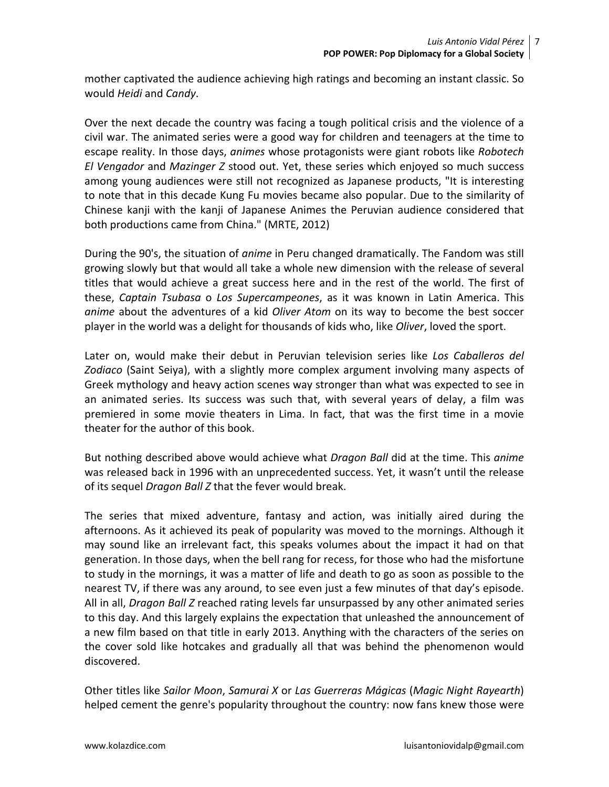mother captivated the audience achieving high ratings and becoming an instant classic. So would *Heidi* and *Candy*.

Over the next decade the country was facing a tough political crisis and the violence of a civil war. The animated series were a good way for children and teenagers at the time to escape reality. In those days, *animes* whose protagonists were giant robots like *Robotech El Vengador* and *Mazinger Z* stood out. Yet, these series which enjoyed so much success among young audiences were still not recognized as Japanese products, "It is interesting to note that in this decade Kung Fu movies became also popular. Due to the similarity of Chinese kanji with the kanji of Japanese Animes the Peruvian audience considered that both productions came from China." (MRTE, 2012)

During the 90's, the situation of *anime* in Peru changed dramatically. The Fandom was still growing slowly but that would all take a whole new dimension with the release of several titles that would achieve a great success here and in the rest of the world. The first of these, *Captain Tsubasa* o *Los Supercampeones*, as it was known in Latin America. This *anime* about the adventures of a kid *Oliver Atom* on its way to become the best soccer player in the world was a delight for thousands of kids who, like *Oliver*, loved the sport.

Later on, would make their debut in Peruvian television series like *Los Caballeros del Zodiaco* (Saint Seiya), with a slightly more complex argument involving many aspects of Greek mythology and heavy action scenes way stronger than what was expected to see in an animated series. Its success was such that, with several years of delay, a film was premiered in some movie theaters in Lima. In fact, that was the first time in a movie theater for the author of this book.

But nothing described above would achieve what *Dragon Ball* did at the time. This *anime* was released back in 1996 with an unprecedented success. Yet, it wasn't until the release of its sequel *Dragon Ball Z* that the fever would break.

The series that mixed adventure, fantasy and action, was initially aired during the afternoons. As it achieved its peak of popularity was moved to the mornings. Although it may sound like an irrelevant fact, this speaks volumes about the impact it had on that generation. In those days, when the bell rang for recess, for those who had the misfortune to study in the mornings, it was a matter of life and death to go as soon as possible to the nearest TV, if there was any around, to see even just a few minutes of that day's episode. All in all, *Dragon Ball Z* reached rating levels far unsurpassed by any other animated series to this day. And this largely explains the expectation that unleashed the announcement of a new film based on that title in early 2013. Anything with the characters of the series on the cover sold like hotcakes and gradually all that was behind the phenomenon would discovered.

Other titles like *Sailor Moon*, *Samurai X* or *Las Guerreras Mágicas* (*Magic Night Rayearth*) helped cement the genre's popularity throughout the country: now fans knew those were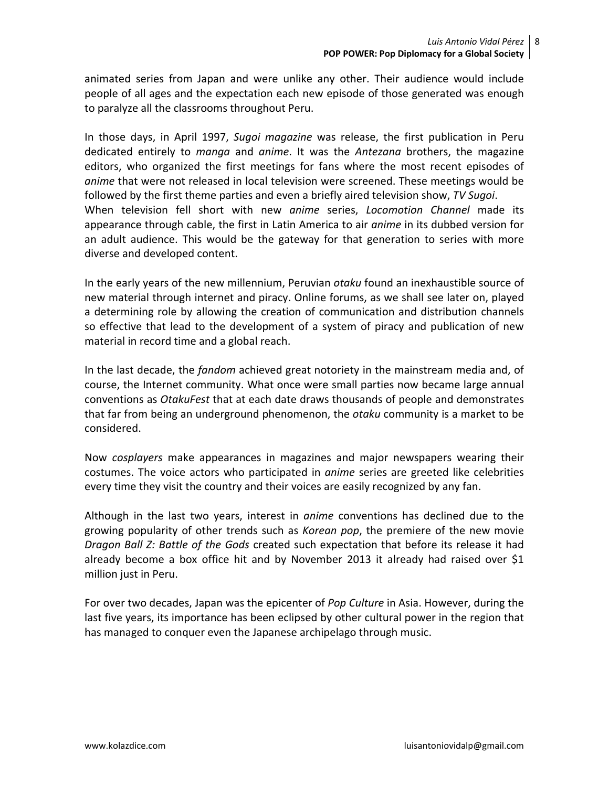animated series from Japan and were unlike any other. Their audience would include people of all ages and the expectation each new episode of those generated was enough to paralyze all the classrooms throughout Peru.

In those days, in April 1997, *Sugoi magazine* was release, the first publication in Peru dedicated entirely to *manga* and *anime*. It was the *Antezana* brothers, the magazine editors, who organized the first meetings for fans where the most recent episodes of *anime* that were not released in local television were screened. These meetings would be followed by the first theme parties and even a briefly aired television show, *TV Sugoi*. When television fell short with new *anime* series, *Locomotion Channel* made its appearance through cable, the first in Latin America to air *anime* in its dubbed version for an adult audience. This would be the gateway for that generation to series with more diverse and developed content.

In the early years of the new millennium, Peruvian *otaku* found an inexhaustible source of new material through internet and piracy. Online forums, as we shall see later on, played a determining role by allowing the creation of communication and distribution channels so effective that lead to the development of a system of piracy and publication of new material in record time and a global reach.

In the last decade, the *fandom* achieved great notoriety in the mainstream media and, of course, the Internet community. What once were small parties now became large annual conventions as *OtakuFest* that at each date draws thousands of people and demonstrates that far from being an underground phenomenon, the *otaku* community is a market to be considered.

Now *cosplayers* make appearances in magazines and major newspapers wearing their costumes. The voice actors who participated in *anime* series are greeted like celebrities every time they visit the country and their voices are easily recognized by any fan.

Although in the last two years, interest in *anime* conventions has declined due to the growing popularity of other trends such as *Korean pop*, the premiere of the new movie *Dragon Ball Z: Battle of the Gods* created such expectation that before its release it had already become a box office hit and by November 2013 it already had raised over \$1 million just in Peru.

For over two decades, Japan was the epicenter of *Pop Culture* in Asia. However, during the last five years, its importance has been eclipsed by other cultural power in the region that has managed to conquer even the Japanese archipelago through music.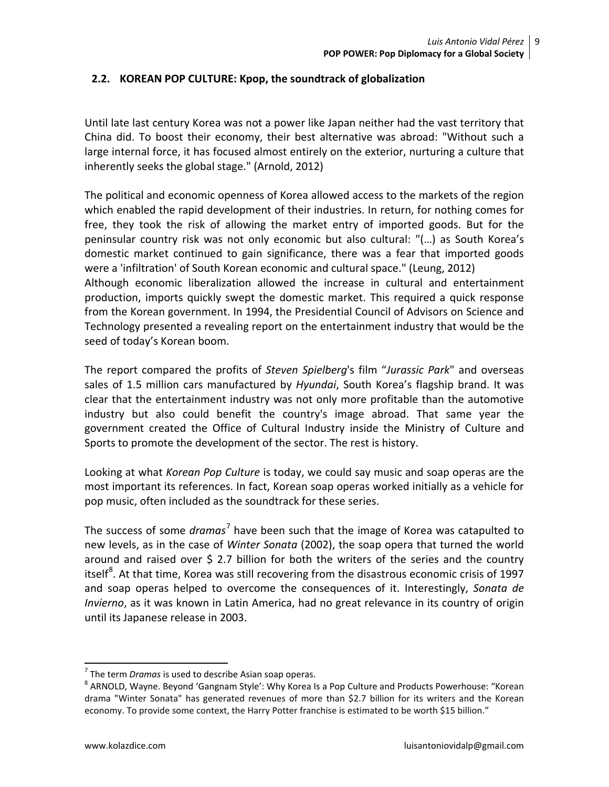#### **2.2. KOREAN POP CULTURE: Kpop, the soundtrack of globalization**

Until late last century Korea was not a power like Japan neither had the vast territory that China did. To boost their economy, their best alternative was abroad: "Without such a large internal force, it has focused almost entirely on the exterior, nurturing a culture that inherently seeks the global stage." (Arnold, 2012)

The political and economic openness of Korea allowed access to the markets of the region which enabled the rapid development of their industries. In return, for nothing comes for free, they took the risk of allowing the market entry of imported goods. But for the peninsular country risk was not only economic but also cultural: "(…) as South Korea's domestic market continued to gain significance, there was a fear that imported goods were a 'infiltration' of South Korean economic and cultural space." (Leung, 2012) Although economic liberalization allowed the increase in cultural and entertainment production, imports quickly swept the domestic market. This required a quick response from the Korean government. In 1994, the Presidential Council of Advisors on Science and Technology presented a revealing report on the entertainment industry that would be the seed of today's Korean boom.

The report compared the profits of *Steven Spielberg*'s film "*Jurassic Park*" and overseas sales of 1.5 million cars manufactured by *Hyundai*, South Korea's flagship brand. It was clear that the entertainment industry was not only more profitable than the automotive industry but also could benefit the country's image abroad. That same year the government created the Office of Cultural Industry inside the Ministry of Culture and Sports to promote the development of the sector. The rest is history.

Looking at what *Korean Pop Culture* is today, we could say music and soap operas are the most important its references. In fact, Korean soap operas worked initially as a vehicle for pop music, often included as the soundtrack for these series.

The success of some *dramas*[7](#page-8-0) have been such that the image of Korea was catapulted to new levels, as in the case of *Winter Sonata* (2002), the soap opera that turned the world around and raised over  $\frac{1}{2}$  2.7 billion for both the writers of the series and the country itself<sup>[8](#page-8-1)</sup>. At that time, Korea was still recovering from the disastrous economic crisis of 1997 and soap operas helped to overcome the consequences of it. Interestingly, *Sonata de Invierno*, as it was known in Latin America, had no great relevance in its country of origin until its Japanese release in 2003.

<span id="page-8-1"></span><span id="page-8-0"></span><sup>&</sup>lt;sup>7</sup> The term *Dramas* is used to describe Asian soap operas.<br><sup>8</sup> ARNOLD, Wayne. Beyond 'Gangnam Style': Why Korea Is a Pop Culture and Products Powerhouse: "Korean drama "Winter Sonata" has generated revenues of more than \$2.7 billion for its writers and the Korean economy. To provide some context, the Harry Potter franchise is estimated to be worth \$15 billion."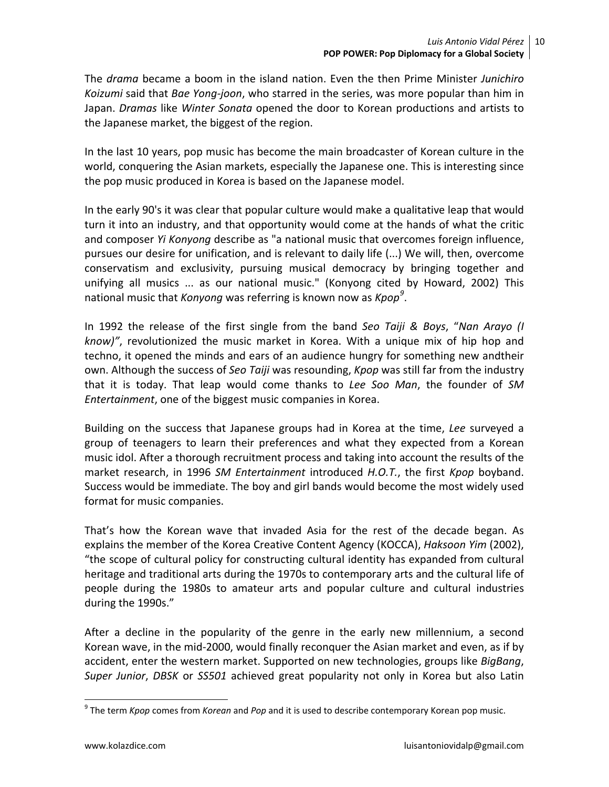The *drama* became a boom in the island nation. Even the then Prime Minister *Junichiro Koizumi* said that *Bae Yong-joon*, who starred in the series, was more popular than him in Japan. *Dramas* like *Winter Sonata* opened the door to Korean productions and artists to the Japanese market, the biggest of the region.

In the last 10 years, pop music has become the main broadcaster of Korean culture in the world, conquering the Asian markets, especially the Japanese one. This is interesting since the pop music produced in Korea is based on the Japanese model.

In the early 90's it was clear that popular culture would make a qualitative leap that would turn it into an industry, and that opportunity would come at the hands of what the critic and composer *Yi Konyong* describe as "a national music that overcomes foreign influence, pursues our desire for unification, and is relevant to daily life (...) We will, then, overcome conservatism and exclusivity, pursuing musical democracy by bringing together and unifying all musics ... as our national music." (Konyong cited by Howard, 2002) This national music that *Konyong* was referring is known now as *Kpop[9](#page-9-0)* .

In 1992 the release of the first single from the band *Seo Taiji & Boys*, "*Nan Arayo (I know)"*, revolutionized the music market in Korea. With a unique mix of hip hop and techno, it opened the minds and ears of an audience hungry for something new andtheir own. Although the success of *Seo Taiji* was resounding, *Kpop* was still far from the industry that it is today. That leap would come thanks to *Lee Soo Man*, the founder of *SM Entertainment*, one of the biggest music companies in Korea.

Building on the success that Japanese groups had in Korea at the time, *Lee* surveyed a group of teenagers to learn their preferences and what they expected from a Korean music idol. After a thorough recruitment process and taking into account the results of the market research, in 1996 *SM Entertainment* introduced *H.O.T.*, the first *Kpop* boyband. Success would be immediate. The boy and girl bands would become the most widely used format for music companies.

That's how the Korean wave that invaded Asia for the rest of the decade began. As explains the member of the Korea Creative Content Agency (KOCCA), *Haksoon Yim* (2002), "the scope of cultural policy for constructing cultural identity has expanded from cultural heritage and traditional arts during the 1970s to contemporary arts and the cultural life of people during the 1980s to amateur arts and popular culture and cultural industries during the 1990s."

After a decline in the popularity of the genre in the early new millennium, a second Korean wave, in the mid-2000, would finally reconquer the Asian market and even, as if by accident, enter the western market. Supported on new technologies, groups like *BigBang*, *Super Junior*, *DBSK* or *SS501* achieved great popularity not only in Korea but also Latin

<span id="page-9-0"></span> <sup>9</sup> The term *Kpop* comes from *Korean* and *Pop* and it is used to describe contemporary Korean pop music.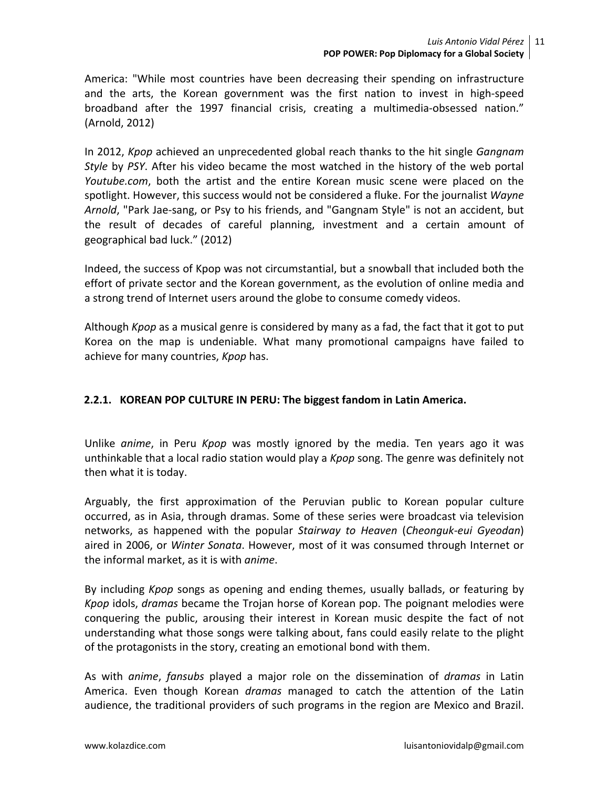America: "While most countries have been decreasing their spending on infrastructure and the arts, the Korean government was the first nation to invest in high-speed broadband after the 1997 financial crisis, creating a multimedia-obsessed nation." (Arnold, 2012)

In 2012, *Kpop* achieved an unprecedented global reach thanks to the hit single *Gangnam Style* by *PSY*. After his video became the most watched in the history of the web portal *Youtube.com*, both the artist and the entire Korean music scene were placed on the spotlight. However, this success would not be considered a fluke. For the journalist *Wayne Arnold*, "Park Jae-sang, or Psy to his friends, and "Gangnam Style" is not an accident, but the result of decades of careful planning, investment and a certain amount of geographical bad luck." (2012)

Indeed, the success of Kpop was not circumstantial, but a snowball that included both the effort of private sector and the Korean government, as the evolution of online media and a strong trend of Internet users around the globe to consume comedy videos.

Although *Kpop* as a musical genre is considered by many as a fad, the fact that it got to put Korea on the map is undeniable. What many promotional campaigns have failed to achieve for many countries, *Kpop* has.

## **2.2.1. KOREAN POP CULTURE IN PERU: The biggest fandom in Latin America.**

Unlike *anime*, in Peru *Kpop* was mostly ignored by the media. Ten years ago it was unthinkable that a local radio station would play a *Kpop* song. The genre was definitely not then what it is today.

Arguably, the first approximation of the Peruvian public to Korean popular culture occurred, as in Asia, through dramas. Some of these series were broadcast via television networks, as happened with the popular *Stairway to Heaven* (*Cheonguk-eui Gyeodan*) aired in 2006, or *Winter Sonata*. However, most of it was consumed through Internet or the informal market, as it is with *anime*.

By including *Kpop* songs as opening and ending themes, usually ballads, or featuring by *Kpop* idols, *dramas* became the Trojan horse of Korean pop. The poignant melodies were conquering the public, arousing their interest in Korean music despite the fact of not understanding what those songs were talking about, fans could easily relate to the plight of the protagonists in the story, creating an emotional bond with them.

As with *anime*, *fansubs* played a major role on the dissemination of *dramas* in Latin America. Even though Korean *dramas* managed to catch the attention of the Latin audience, the traditional providers of such programs in the region are Mexico and Brazil.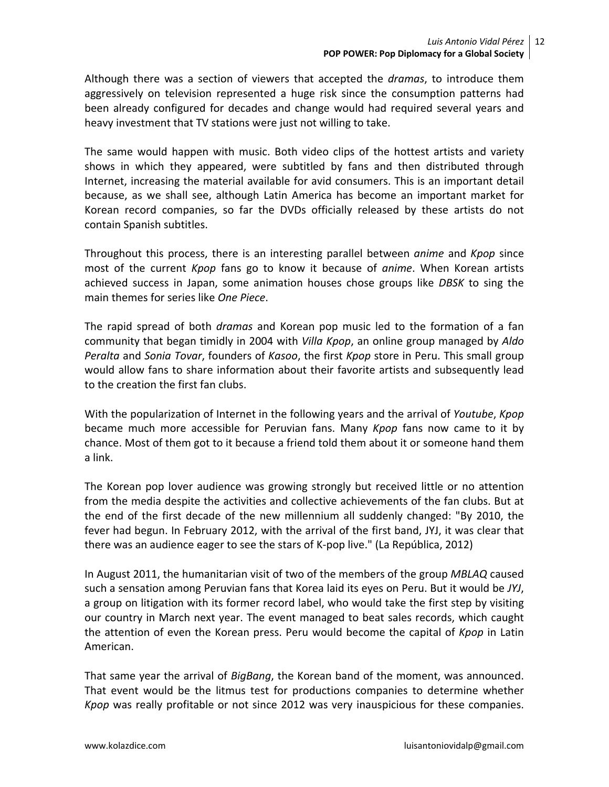Although there was a section of viewers that accepted the *dramas*, to introduce them aggressively on television represented a huge risk since the consumption patterns had been already configured for decades and change would had required several years and heavy investment that TV stations were just not willing to take.

The same would happen with music. Both video clips of the hottest artists and variety shows in which they appeared, were subtitled by fans and then distributed through Internet, increasing the material available for avid consumers. This is an important detail because, as we shall see, although Latin America has become an important market for Korean record companies, so far the DVDs officially released by these artists do not contain Spanish subtitles.

Throughout this process, there is an interesting parallel between *anime* and *Kpop* since most of the current *Kpop* fans go to know it because of *anime*. When Korean artists achieved success in Japan, some animation houses chose groups like *DBSK* to sing the main themes for series like *One Piece*.

The rapid spread of both *dramas* and Korean pop music led to the formation of a fan community that began timidly in 2004 with *Villa Kpop*, an online group managed by *Aldo Peralta* and *Sonia Tovar*, founders of *Kasoo*, the first *Kpop* store in Peru. This small group would allow fans to share information about their favorite artists and subsequently lead to the creation the first fan clubs.

With the popularization of Internet in the following years and the arrival of *Youtube*, *Kpop* became much more accessible for Peruvian fans. Many *Kpop* fans now came to it by chance. Most of them got to it because a friend told them about it or someone hand them a link.

The Korean pop lover audience was growing strongly but received little or no attention from the media despite the activities and collective achievements of the fan clubs. But at the end of the first decade of the new millennium all suddenly changed: "By 2010, the fever had begun. In February 2012, with the arrival of the first band, JYJ, it was clear that there was an audience eager to see the stars of K-pop live." (La República, 2012)

In August 2011, the humanitarian visit of two of the members of the group *MBLAQ* caused such a sensation among Peruvian fans that Korea laid its eyes on Peru. But it would be *JYJ*, a group on litigation with its former record label, who would take the first step by visiting our country in March next year. The event managed to beat sales records, which caught the attention of even the Korean press. Peru would become the capital of *Kpop* in Latin American.

That same year the arrival of *BigBang*, the Korean band of the moment, was announced. That event would be the litmus test for productions companies to determine whether *Kpop* was really profitable or not since 2012 was very inauspicious for these companies.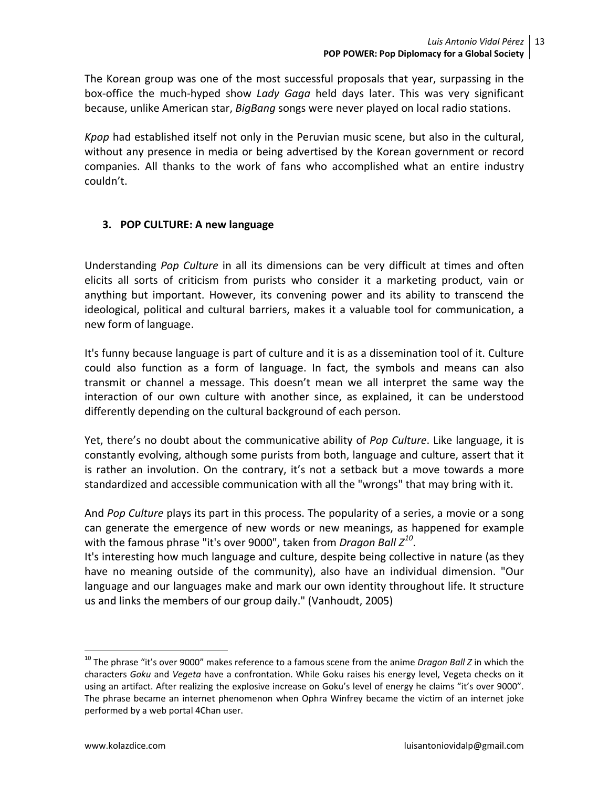The Korean group was one of the most successful proposals that year, surpassing in the box-office the much-hyped show *Lady Gaga* held days later. This was very significant because, unlike American star, *BigBang* songs were never played on local radio stations.

*Kpop* had established itself not only in the Peruvian music scene, but also in the cultural, without any presence in media or being advertised by the Korean government or record companies. All thanks to the work of fans who accomplished what an entire industry couldn't.

## **3. POP CULTURE: A new language**

Understanding *Pop Culture* in all its dimensions can be very difficult at times and often elicits all sorts of criticism from purists who consider it a marketing product, vain or anything but important. However, its convening power and its ability to transcend the ideological, political and cultural barriers, makes it a valuable tool for communication, a new form of language.

It's funny because language is part of culture and it is as a dissemination tool of it. Culture could also function as a form of language. In fact, the symbols and means can also transmit or channel a message. This doesn't mean we all interpret the same way the interaction of our own culture with another since, as explained, it can be understood differently depending on the cultural background of each person.

Yet, there's no doubt about the communicative ability of *Pop Culture*. Like language, it is constantly evolving, although some purists from both, language and culture, assert that it is rather an involution. On the contrary, it's not a setback but a move towards a more standardized and accessible communication with all the "wrongs" that may bring with it.

And *Pop Culture* plays its part in this process. The popularity of a series, a movie or a song can generate the emergence of new words or new meanings, as happened for example with the famous phrase "it's over 9000", taken from *Dragon Ball Z[10](#page-12-0)*.

It's interesting how much language and culture, despite being collective in nature (as they have no meaning outside of the community), also have an individual dimension. "Our language and our languages make and mark our own identity throughout life. It structure us and links the members of our group daily." (Vanhoudt, 2005)

<span id="page-12-0"></span> <sup>10</sup> The phrase "it's over 9000" makes reference to a famous scene from the anime *Dragon Ball Z* in which the characters *Goku* and *Vegeta* have a confrontation. While Goku raises his energy level, Vegeta checks on it using an artifact. After realizing the explosive increase on Goku's level of energy he claims "it's over 9000". The phrase became an internet phenomenon when Ophra Winfrey became the victim of an internet joke performed by a web portal 4Chan user.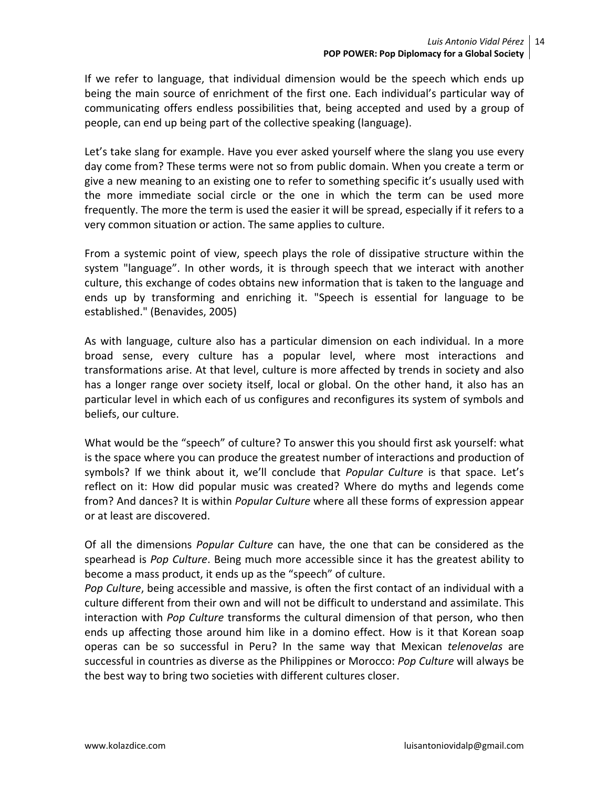If we refer to language, that individual dimension would be the speech which ends up being the main source of enrichment of the first one. Each individual's particular way of communicating offers endless possibilities that, being accepted and used by a group of people, can end up being part of the collective speaking (language).

Let's take slang for example. Have you ever asked yourself where the slang you use every day come from? These terms were not so from public domain. When you create a term or give a new meaning to an existing one to refer to something specific it's usually used with the more immediate social circle or the one in which the term can be used more frequently. The more the term is used the easier it will be spread, especially if it refers to a very common situation or action. The same applies to culture.

From a systemic point of view, speech plays the role of dissipative structure within the system "language". In other words, it is through speech that we interact with another culture, this exchange of codes obtains new information that is taken to the language and ends up by transforming and enriching it. "Speech is essential for language to be established." (Benavides, 2005)

As with language, culture also has a particular dimension on each individual. In a more broad sense, every culture has a popular level, where most interactions and transformations arise. At that level, culture is more affected by trends in society and also has a longer range over society itself, local or global. On the other hand, it also has an particular level in which each of us configures and reconfigures its system of symbols and beliefs, our culture.

What would be the "speech" of culture? To answer this you should first ask yourself: what is the space where you can produce the greatest number of interactions and production of symbols? If we think about it, we'll conclude that *Popular Culture* is that space. Let's reflect on it: How did popular music was created? Where do myths and legends come from? And dances? It is within *Popular Culture* where all these forms of expression appear or at least are discovered.

Of all the dimensions *Popular Culture* can have, the one that can be considered as the spearhead is *Pop Culture*. Being much more accessible since it has the greatest ability to become a mass product, it ends up as the "speech" of culture.

*Pop Culture*, being accessible and massive, is often the first contact of an individual with a culture different from their own and will not be difficult to understand and assimilate. This interaction with *Pop Culture* transforms the cultural dimension of that person, who then ends up affecting those around him like in a domino effect. How is it that Korean soap operas can be so successful in Peru? In the same way that Mexican *telenovelas* are successful in countries as diverse as the Philippines or Morocco: *Pop Culture* will always be the best way to bring two societies with different cultures closer.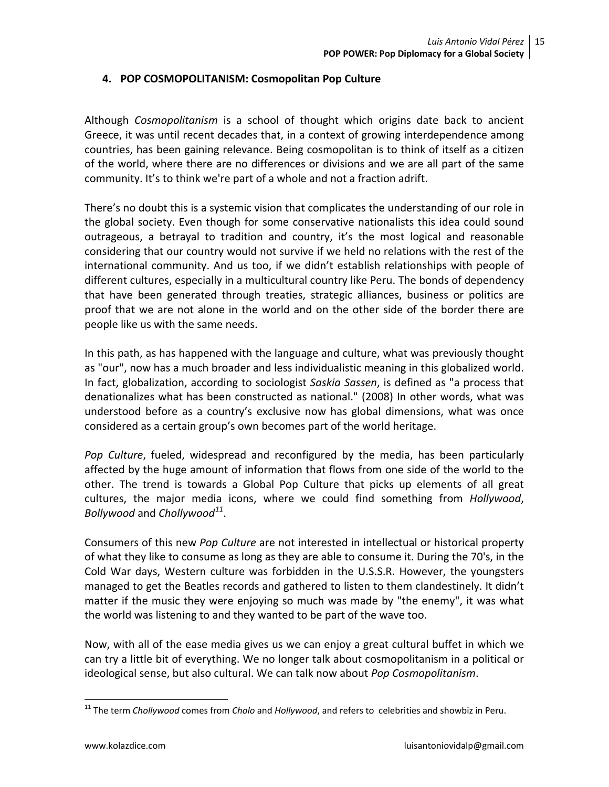### **4. POP COSMOPOLITANISM: Cosmopolitan Pop Culture**

Although *Cosmopolitanism* is a school of thought which origins date back to ancient Greece, it was until recent decades that, in a context of growing interdependence among countries, has been gaining relevance. Being cosmopolitan is to think of itself as a citizen of the world, where there are no differences or divisions and we are all part of the same community. It's to think we're part of a whole and not a fraction adrift.

There's no doubt this is a systemic vision that complicates the understanding of our role in the global society. Even though for some conservative nationalists this idea could sound outrageous, a betrayal to tradition and country, it's the most logical and reasonable considering that our country would not survive if we held no relations with the rest of the international community. And us too, if we didn't establish relationships with people of different cultures, especially in a multicultural country like Peru. The bonds of dependency that have been generated through treaties, strategic alliances, business or politics are proof that we are not alone in the world and on the other side of the border there are people like us with the same needs.

In this path, as has happened with the language and culture, what was previously thought as "our", now has a much broader and less individualistic meaning in this globalized world. In fact, globalization, according to sociologist *Saskia Sassen*, is defined as "a process that denationalizes what has been constructed as national." (2008) In other words, what was understood before as a country's exclusive now has global dimensions, what was once considered as a certain group's own becomes part of the world heritage.

*Pop Culture*, fueled, widespread and reconfigured by the media, has been particularly affected by the huge amount of information that flows from one side of the world to the other. The trend is towards a Global Pop Culture that picks up elements of all great cultures, the major media icons, where we could find something from *Hollywood*, *Bollywood* and *Chollywood[11](#page-14-0)*.

Consumers of this new *Pop Culture* are not interested in intellectual or historical property of what they like to consume as long as they are able to consume it. During the 70's, in the Cold War days, Western culture was forbidden in the U.S.S.R. However, the youngsters managed to get the Beatles records and gathered to listen to them clandestinely. It didn't matter if the music they were enjoying so much was made by "the enemy", it was what the world was listening to and they wanted to be part of the wave too.

Now, with all of the ease media gives us we can enjoy a great cultural buffet in which we can try a little bit of everything. We no longer talk about cosmopolitanism in a political or ideological sense, but also cultural. We can talk now about *Pop Cosmopolitanism*.

<span id="page-14-0"></span> <sup>11</sup> The term *Chollywood* comes from *Cholo* and *Hollywood*, and refers to celebrities and showbiz in Peru.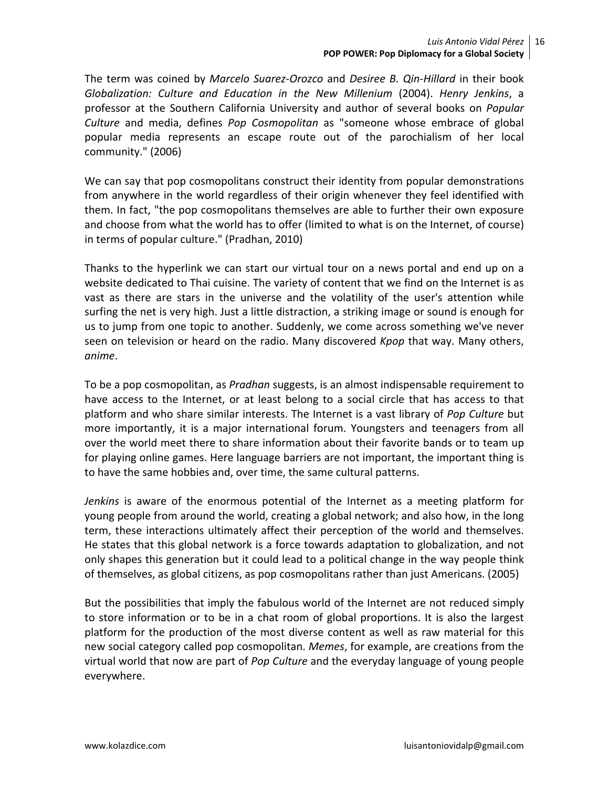The term was coined by *Marcelo Suarez-Orozco* and *Desiree B. Qin-Hillard* in their book *Globalization: Culture and Education in the New Millenium* (2004). *Henry Jenkins*, a professor at the Southern California University and author of several books on *Popular Culture* and media, defines *Pop Cosmopolitan* as "someone whose embrace of global popular media represents an escape route out of the parochialism of her local community." (2006)

We can say that pop cosmopolitans construct their identity from popular demonstrations from anywhere in the world regardless of their origin whenever they feel identified with them. In fact, "the pop cosmopolitans themselves are able to further their own exposure and choose from what the world has to offer (limited to what is on the Internet, of course) in terms of popular culture." (Pradhan, 2010)

Thanks to the hyperlink we can start our virtual tour on a news portal and end up on a website dedicated to Thai cuisine. The variety of content that we find on the Internet is as vast as there are stars in the universe and the volatility of the user's attention while surfing the net is very high. Just a little distraction, a striking image or sound is enough for us to jump from one topic to another. Suddenly, we come across something we've never seen on television or heard on the radio. Many discovered *Kpop* that way. Many others, *anime*.

To be a pop cosmopolitan, as *Pradhan* suggests, is an almost indispensable requirement to have access to the Internet, or at least belong to a social circle that has access to that platform and who share similar interests. The Internet is a vast library of *Pop Culture* but more importantly, it is a major international forum. Youngsters and teenagers from all over the world meet there to share information about their favorite bands or to team up for playing online games. Here language barriers are not important, the important thing is to have the same hobbies and, over time, the same cultural patterns.

*Jenkins* is aware of the enormous potential of the Internet as a meeting platform for young people from around the world, creating a global network; and also how, in the long term, these interactions ultimately affect their perception of the world and themselves. He states that this global network is a force towards adaptation to globalization, and not only shapes this generation but it could lead to a political change in the way people think of themselves, as global citizens, as pop cosmopolitans rather than just Americans. (2005)

But the possibilities that imply the fabulous world of the Internet are not reduced simply to store information or to be in a chat room of global proportions. It is also the largest platform for the production of the most diverse content as well as raw material for this new social category called pop cosmopolitan. *Memes*, for example, are creations from the virtual world that now are part of *Pop Culture* and the everyday language of young people everywhere.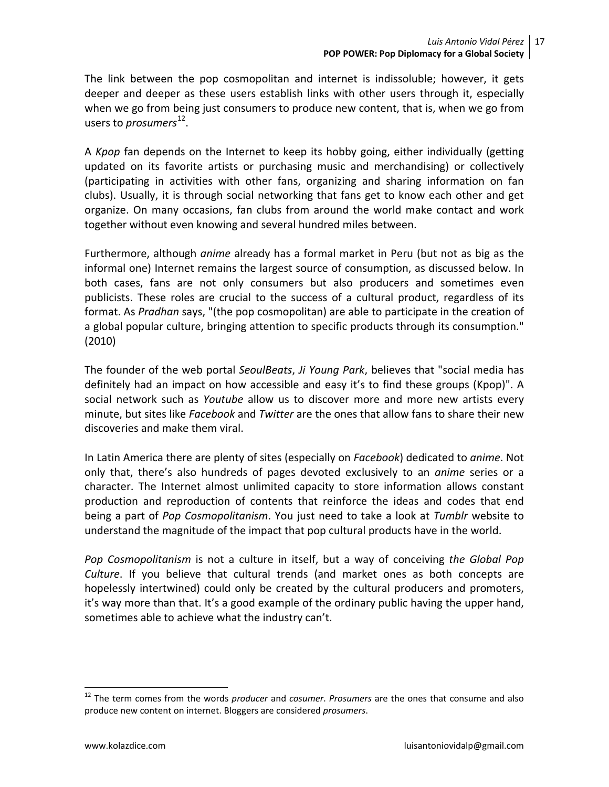The link between the pop cosmopolitan and internet is indissoluble; however, it gets deeper and deeper as these users establish links with other users through it, especially when we go from being just consumers to produce new content, that is, when we go from users to *prosumers*<sup>12</sup>.

A *Kpop* fan depends on the Internet to keep its hobby going, either individually (getting updated on its favorite artists or purchasing music and merchandising) or collectively (participating in activities with other fans, organizing and sharing information on fan clubs). Usually, it is through social networking that fans get to know each other and get organize. On many occasions, fan clubs from around the world make contact and work together without even knowing and several hundred miles between.

Furthermore, although *anime* already has a formal market in Peru (but not as big as the informal one) Internet remains the largest source of consumption, as discussed below. In both cases, fans are not only consumers but also producers and sometimes even publicists. These roles are crucial to the success of a cultural product, regardless of its format. As *Pradhan* says, "(the pop cosmopolitan) are able to participate in the creation of a global popular culture, bringing attention to specific products through its consumption." (2010)

The founder of the web portal *SeoulBeats*, *Ji Young Park*, believes that "social media has definitely had an impact on how accessible and easy it's to find these groups (Kpop)". A social network such as *Youtube* allow us to discover more and more new artists every minute, but sites like *Facebook* and *Twitter* are the ones that allow fans to share their new discoveries and make them viral.

In Latin America there are plenty of sites (especially on *Facebook*) dedicated to *anime*. Not only that, there's also hundreds of pages devoted exclusively to an *anime* series or a character. The Internet almost unlimited capacity to store information allows constant production and reproduction of contents that reinforce the ideas and codes that end being a part of *Pop Cosmopolitanism*. You just need to take a look at *Tumblr* website to understand the magnitude of the impact that pop cultural products have in the world.

*Pop Cosmopolitanism* is not a culture in itself, but a way of conceiving *the Global Pop Culture*. If you believe that cultural trends (and market ones as both concepts are hopelessly intertwined) could only be created by the cultural producers and promoters, it's way more than that. It's a good example of the ordinary public having the upper hand, sometimes able to achieve what the industry can't.

<span id="page-16-0"></span> <sup>12</sup> The term comes from the words *producer* and *cosumer*. *Prosumers* are the ones that consume and also produce new content on internet. Bloggers are considered *prosumers*.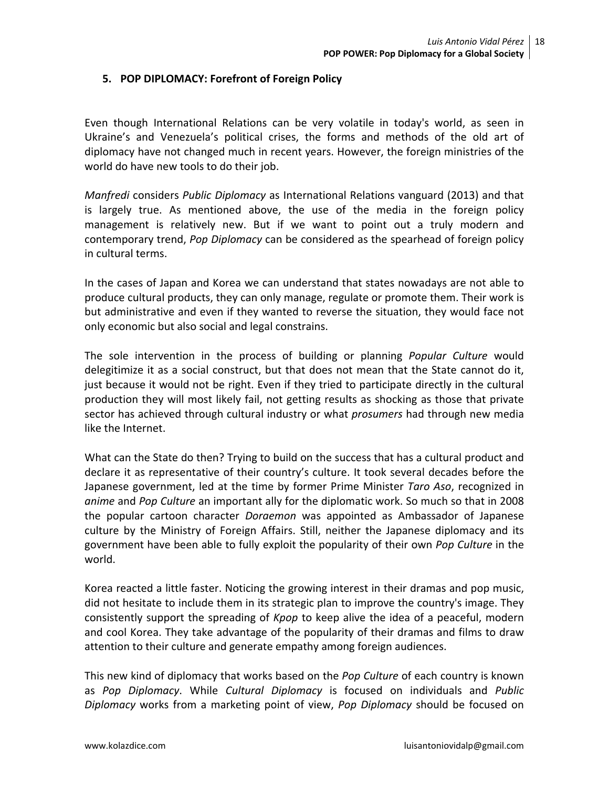#### **5. POP DIPLOMACY: Forefront of Foreign Policy**

Even though International Relations can be very volatile in today's world, as seen in Ukraine's and Venezuela's political crises, the forms and methods of the old art of diplomacy have not changed much in recent years. However, the foreign ministries of the world do have new tools to do their job.

*Manfredi* considers *Public Diplomacy* as International Relations vanguard (2013) and that is largely true. As mentioned above, the use of the media in the foreign policy management is relatively new. But if we want to point out a truly modern and contemporary trend, *Pop Diplomacy* can be considered as the spearhead of foreign policy in cultural terms.

In the cases of Japan and Korea we can understand that states nowadays are not able to produce cultural products, they can only manage, regulate or promote them. Their work is but administrative and even if they wanted to reverse the situation, they would face not only economic but also social and legal constrains.

The sole intervention in the process of building or planning *Popular Culture* would delegitimize it as a social construct, but that does not mean that the State cannot do it, just because it would not be right. Even if they tried to participate directly in the cultural production they will most likely fail, not getting results as shocking as those that private sector has achieved through cultural industry or what *prosumers* had through new media like the Internet.

What can the State do then? Trying to build on the success that has a cultural product and declare it as representative of their country's culture. It took several decades before the Japanese government, led at the time by former Prime Minister *Taro Aso*, recognized in *anime* and *Pop Culture* an important ally for the diplomatic work. So much so that in 2008 the popular cartoon character *Doraemon* was appointed as Ambassador of Japanese culture by the Ministry of Foreign Affairs. Still, neither the Japanese diplomacy and its government have been able to fully exploit the popularity of their own *Pop Culture* in the world.

Korea reacted a little faster. Noticing the growing interest in their dramas and pop music, did not hesitate to include them in its strategic plan to improve the country's image. They consistently support the spreading of *Kpop* to keep alive the idea of a peaceful, modern and cool Korea. They take advantage of the popularity of their dramas and films to draw attention to their culture and generate empathy among foreign audiences.

This new kind of diplomacy that works based on the *Pop Culture* of each country is known as *Pop Diplomacy*. While *Cultural Diplomacy* is focused on individuals and *Public Diplomacy* works from a marketing point of view, *Pop Diplomacy* should be focused on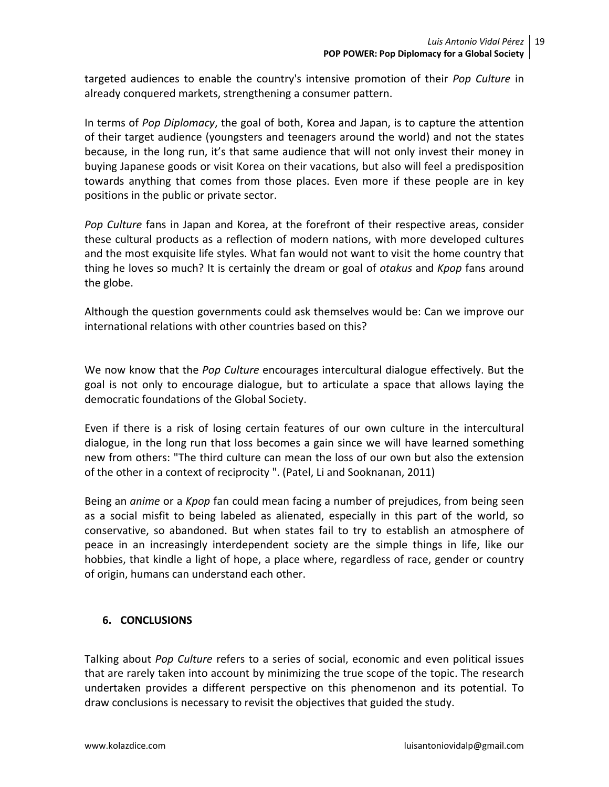targeted audiences to enable the country's intensive promotion of their *Pop Culture* in already conquered markets, strengthening a consumer pattern.

In terms of *Pop Diplomacy*, the goal of both, Korea and Japan, is to capture the attention of their target audience (youngsters and teenagers around the world) and not the states because, in the long run, it's that same audience that will not only invest their money in buying Japanese goods or visit Korea on their vacations, but also will feel a predisposition towards anything that comes from those places. Even more if these people are in key positions in the public or private sector.

*Pop Culture* fans in Japan and Korea, at the forefront of their respective areas, consider these cultural products as a reflection of modern nations, with more developed cultures and the most exquisite life styles. What fan would not want to visit the home country that thing he loves so much? It is certainly the dream or goal of *otakus* and *Kpop* fans around the globe.

Although the question governments could ask themselves would be: Can we improve our international relations with other countries based on this?

We now know that the *Pop Culture* encourages intercultural dialogue effectively. But the goal is not only to encourage dialogue, but to articulate a space that allows laying the democratic foundations of the Global Society.

Even if there is a risk of losing certain features of our own culture in the intercultural dialogue, in the long run that loss becomes a gain since we will have learned something new from others: "The third culture can mean the loss of our own but also the extension of the other in a context of reciprocity ". (Patel, Li and Sooknanan, 2011)

Being an *anime* or a *Kpop* fan could mean facing a number of prejudices, from being seen as a social misfit to being labeled as alienated, especially in this part of the world, so conservative, so abandoned. But when states fail to try to establish an atmosphere of peace in an increasingly interdependent society are the simple things in life, like our hobbies, that kindle a light of hope, a place where, regardless of race, gender or country of origin, humans can understand each other.

## **6. CONCLUSIONS**

Talking about *Pop Culture* refers to a series of social, economic and even political issues that are rarely taken into account by minimizing the true scope of the topic. The research undertaken provides a different perspective on this phenomenon and its potential. To draw conclusions is necessary to revisit the objectives that guided the study.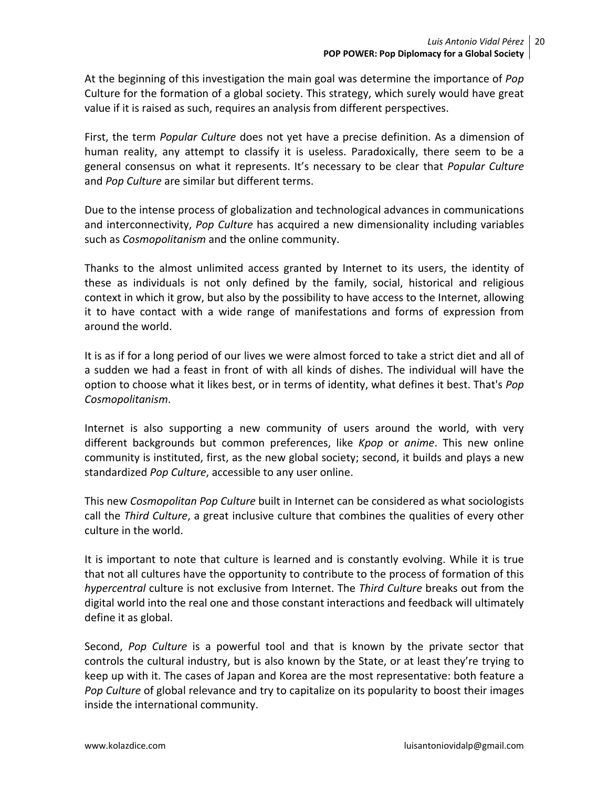At the beginning of this investigation the main goal was determine the importance of *Pop*  Culture for the formation of a global society. This strategy, which surely would have great value if it is raised as such, requires an analysis from different perspectives.

First, the term *Popular Culture* does not yet have a precise definition. As a dimension of human reality, any attempt to classify it is useless. Paradoxically, there seem to be a general consensus on what it represents. It's necessary to be clear that *Popular Culture* and *Pop Culture* are similar but different terms.

Due to the intense process of globalization and technological advances in communications and interconnectivity, *Pop Culture* has acquired a new dimensionality including variables such as *Cosmopolitanism* and the online community.

Thanks to the almost unlimited access granted by Internet to its users, the identity of these as individuals is not only defined by the family, social, historical and religious context in which it grow, but also by the possibility to have access to the Internet, allowing it to have contact with a wide range of manifestations and forms of expression from around the world.

It is as if for a long period of our lives we were almost forced to take a strict diet and all of a sudden we had a feast in front of with all kinds of dishes. The individual will have the option to choose what it likes best, or in terms of identity, what defines it best. That's *Pop Cosmopolitanism*.

Internet is also supporting a new community of users around the world, with very different backgrounds but common preferences, like *Kpop* or *anime*. This new online community is instituted, first, as the new global society; second, it builds and plays a new standardized *Pop Culture*, accessible to any user online.

This new *Cosmopolitan Pop Culture* built in Internet can be considered as what sociologists call the *Third Culture*, a great inclusive culture that combines the qualities of every other culture in the world.

It is important to note that culture is learned and is constantly evolving. While it is true that not all cultures have the opportunity to contribute to the process of formation of this *hypercentral* culture is not exclusive from Internet. The *Third Culture* breaks out from the digital world into the real one and those constant interactions and feedback will ultimately define it as global.

Second, *Pop Culture* is a powerful tool and that is known by the private sector that controls the cultural industry, but is also known by the State, or at least they're trying to keep up with it. The cases of Japan and Korea are the most representative: both feature a *Pop Culture* of global relevance and try to capitalize on its popularity to boost their images inside the international community.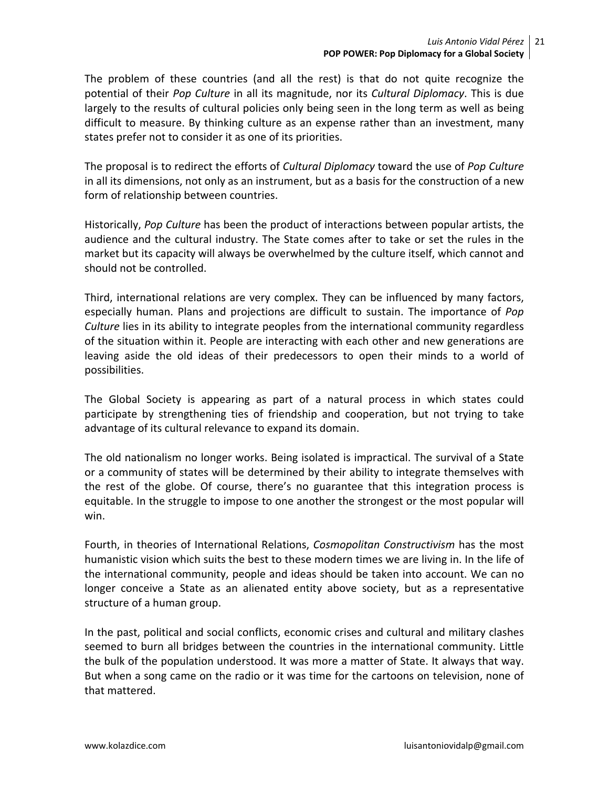The problem of these countries (and all the rest) is that do not quite recognize the potential of their *Pop Culture* in all its magnitude, nor its *Cultural Diplomacy*. This is due largely to the results of cultural policies only being seen in the long term as well as being difficult to measure. By thinking culture as an expense rather than an investment, many states prefer not to consider it as one of its priorities.

The proposal is to redirect the efforts of *Cultural Diplomacy* toward the use of *Pop Culture*  in all its dimensions, not only as an instrument, but as a basis for the construction of a new form of relationship between countries.

Historically, *Pop Culture* has been the product of interactions between popular artists, the audience and the cultural industry. The State comes after to take or set the rules in the market but its capacity will always be overwhelmed by the culture itself, which cannot and should not be controlled.

Third, international relations are very complex. They can be influenced by many factors, especially human. Plans and projections are difficult to sustain. The importance of *Pop Culture* lies in its ability to integrate peoples from the international community regardless of the situation within it. People are interacting with each other and new generations are leaving aside the old ideas of their predecessors to open their minds to a world of possibilities.

The Global Society is appearing as part of a natural process in which states could participate by strengthening ties of friendship and cooperation, but not trying to take advantage of its cultural relevance to expand its domain.

The old nationalism no longer works. Being isolated is impractical. The survival of a State or a community of states will be determined by their ability to integrate themselves with the rest of the globe. Of course, there's no guarantee that this integration process is equitable. In the struggle to impose to one another the strongest or the most popular will win.

Fourth, in theories of International Relations, *Cosmopolitan Constructivism* has the most humanistic vision which suits the best to these modern times we are living in. In the life of the international community, people and ideas should be taken into account. We can no longer conceive a State as an alienated entity above society, but as a representative structure of a human group.

In the past, political and social conflicts, economic crises and cultural and military clashes seemed to burn all bridges between the countries in the international community. Little the bulk of the population understood. It was more a matter of State. It always that way. But when a song came on the radio or it was time for the cartoons on television, none of that mattered.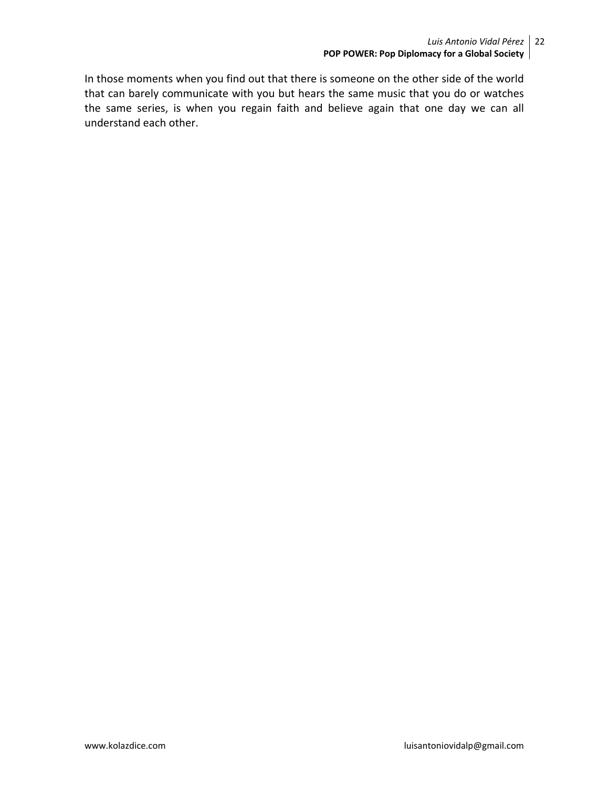In those moments when you find out that there is someone on the other side of the world that can barely communicate with you but hears the same music that you do or watches the same series, is when you regain faith and believe again that one day we can all understand each other.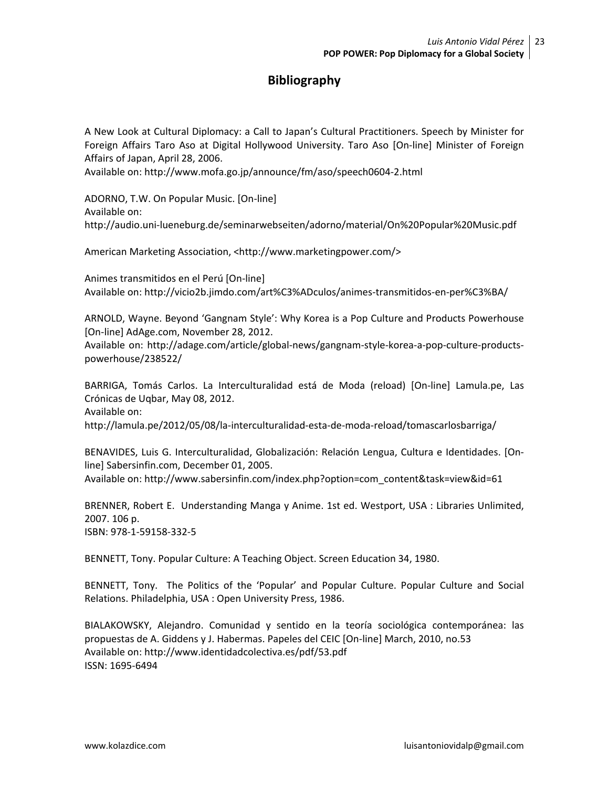## **Bibliography**

A New Look at Cultural Diplomacy: a Call to Japan's Cultural Practitioners. Speech by Minister for Foreign Affairs Taro Aso at Digital Hollywood University. Taro Aso [On-line] Minister of Foreign Affairs of Japan, April 28, 2006.

Available on: http://www.mofa.go.jp/announce/fm/aso/speech0604-2.html

ADORNO, T.W. On Popular Music. [On-line] Available on: http://audio.uni-lueneburg.de/seminarwebseiten/adorno/material/On%20Popular%20Music.pdf

American Marketing Association, <http://www.marketingpower.com/>

Animes transmitidos en el Perú [On-line] Available on: http://vicio2b.jimdo.com/art%C3%ADculos/animes-transmitidos-en-per%C3%BA/

ARNOLD, Wayne. Beyond 'Gangnam Style': Why Korea is a Pop Culture and Products Powerhouse [On-line] AdAge.com, November 28, 2012.

Available on: http://adage.com/article/global-news/gangnam-style-korea-a-pop-culture-productspowerhouse/238522/

BARRIGA, Tomás Carlos. La Interculturalidad está de Moda (reload) [On-line] Lamula.pe, Las Crónicas de Uqbar, May 08, 2012.

Available on:

http://lamula.pe/2012/05/08/la-interculturalidad-esta-de-moda-reload/tomascarlosbarriga/

BENAVIDES, Luis G. Interculturalidad, Globalización: Relación Lengua, Cultura e Identidades. [Online] Sabersinfin.com, December 01, 2005. Available on: http://www.sabersinfin.com/index.php?option=com\_content&task=view&id=61

BRENNER, Robert E. Understanding Manga y Anime. 1st ed. Westport, USA : Libraries Unlimited, 2007. 106 p. ISBN: 978-1-59158-332-5

BENNETT, Tony. Popular Culture: A Teaching Object. Screen Education 34, 1980.

BENNETT, Tony. The Politics of the 'Popular' and Popular Culture. Popular Culture and Social Relations. Philadelphia, USA : Open University Press, 1986.

BIALAKOWSKY, Alejandro. Comunidad y sentido en la teoría sociológica contemporánea: las propuestas de A. Giddens y J. Habermas. Papeles del CEIC [On-line] March, 2010, no.53 Available on: http://www.identidadcolectiva.es/pdf/53.pdf ISSN: 1695-6494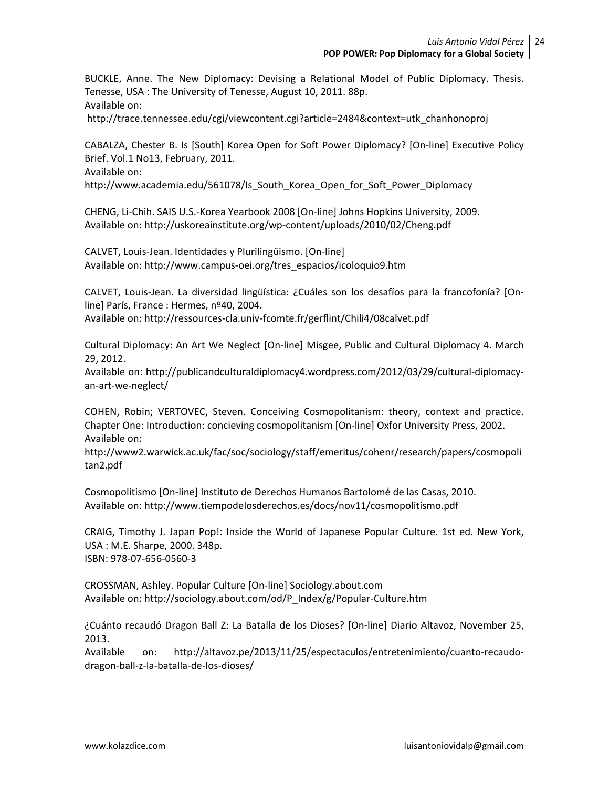BUCKLE, Anne. The New Diplomacy: Devising a Relational Model of Public Diplomacy. Thesis. Tenesse, USA : The University of Tenesse, August 10, 2011. 88p. Available on:

http://trace.tennessee.edu/cgi/viewcontent.cgi?article=2484&context=utk\_chanhonoproj

CABALZA, Chester B. Is [South] Korea Open for Soft Power Diplomacy? [On-line] Executive Policy Brief. Vol.1 No13, February, 2011.

Available on:

http://www.academia.edu/561078/Is\_South\_Korea\_Open\_for\_Soft\_Power\_Diplomacy

CHENG, Li-Chih. SAIS U.S.-Korea Yearbook 2008 [On-line] Johns Hopkins University, 2009. Available on: http://uskoreainstitute.org/wp-content/uploads/2010/02/Cheng.pdf

CALVET, Louis-Jean. Identidades y Plurilingüismo. [On-line] Available on: http://www.campus-oei.org/tres\_espacios/icoloquio9.htm

CALVET, Louis-Jean. La diversidad lingüística: ¿Cuáles son los desafíos para la francofonía? [Online] París, France : Hermes, nº40, 2004.

Available on: http://ressources-cla.univ-fcomte.fr/gerflint/Chili4/08calvet.pdf

Cultural Diplomacy: An Art We Neglect [On-line] Misgee, Public and Cultural Diplomacy 4. March 29, 2012.

Available on: http://publicandculturaldiplomacy4.wordpress.com/2012/03/29/cultural-diplomacyan-art-we-neglect/

COHEN, Robin; VERTOVEC, Steven. Conceiving Cosmopolitanism: theory, context and practice. Chapter One: Introduction: concieving cosmopolitanism [On-line] Oxfor University Press, 2002. Available on:

http://www2.warwick.ac.uk/fac/soc/sociology/staff/emeritus/cohenr/research/papers/cosmopoli tan2.pdf

Cosmopolitismo [On-line] Instituto de Derechos Humanos Bartolomé de las Casas, 2010. Available on: http://www.tiempodelosderechos.es/docs/nov11/cosmopolitismo.pdf

CRAIG, Timothy J. Japan Pop!: Inside the World of Japanese Popular Culture. 1st ed. New York, USA : M.E. Sharpe, 2000. 348p. ISBN: 978-07-656-0560-3

CROSSMAN, Ashley. Popular Culture [On-line] Sociology.about.com Available on: http://sociology.about.com/od/P\_Index/g/Popular-Culture.htm

¿Cuánto recaudó Dragon Ball Z: La Batalla de los Dioses? [On-line] Diario Altavoz, November 25, 2013.

Available on: http://altavoz.pe/2013/11/25/espectaculos/entretenimiento/cuanto-recaudodragon-ball-z-la-batalla-de-los-dioses/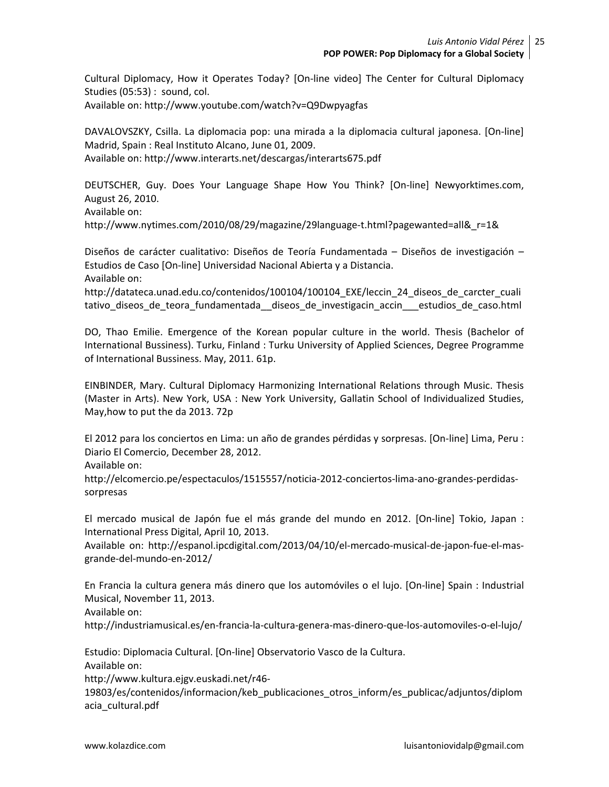Cultural Diplomacy, How it Operates Today? [On-line video] The Center for Cultural Diplomacy Studies (05:53) : sound, col.

Available on: http://www.youtube.com/watch?v=Q9Dwpyagfas

DAVALOVSZKY, Csilla. La diplomacia pop: una mirada a la diplomacia cultural japonesa. [On-line] Madrid, Spain : Real Instituto Alcano, June 01, 2009. Available on: http://www.interarts.net/descargas/interarts675.pdf

DEUTSCHER, Guy. Does Your Language Shape How You Think? [On-line] Newyorktimes.com, August 26, 2010. Available on: http://www.nytimes.com/2010/08/29/magazine/29language-t.html?pagewanted=all& r=1&

Diseños de carácter cualitativo: Diseños de Teoría Fundamentada – Diseños de investigación – Estudios de Caso [On-line] Universidad Nacional Abierta y a Distancia. Available on:

http://datateca.unad.edu.co/contenidos/100104/100104 EXE/leccin\_24\_diseos\_de\_carcter\_cuali tativo diseos de teora fundamentada diseos de investigacin accin estudios de caso.html

DO, Thao Emilie. Emergence of the Korean popular culture in the world. Thesis (Bachelor of International Bussiness). Turku, Finland : Turku University of Applied Sciences, Degree Programme of International Bussiness. May, 2011. 61p.

EINBINDER, Mary. Cultural Diplomacy Harmonizing International Relations through Music. Thesis (Master in Arts). New York, USA : New York University, Gallatin School of Individualized Studies, May,how to put the da 2013. 72p

El 2012 para los conciertos en Lima: un año de grandes pérdidas y sorpresas. [On-line] Lima, Peru : Diario El Comercio, December 28, 2012.

Available on:

http://elcomercio.pe/espectaculos/1515557/noticia-2012-conciertos-lima-ano-grandes-perdidassorpresas

El mercado musical de Japón fue el más grande del mundo en 2012. [On-line] Tokio, Japan : International Press Digital, April 10, 2013.

Available on: http://espanol.ipcdigital.com/2013/04/10/el-mercado-musical-de-japon-fue-el-masgrande-del-mundo-en-2012/

En Francia la cultura genera más dinero que los automóviles o el lujo. [On-line] Spain : Industrial Musical, November 11, 2013.

Available on:

http://industriamusical.es/en-francia-la-cultura-genera-mas-dinero-que-los-automoviles-o-el-lujo/

Estudio: Diplomacia Cultural. [On-line] Observatorio Vasco de la Cultura. Available on:

http://www.kultura.ejgv.euskadi.net/r46-

19803/es/contenidos/informacion/keb\_publicaciones\_otros\_inform/es\_publicac/adjuntos/diplom acia\_cultural.pdf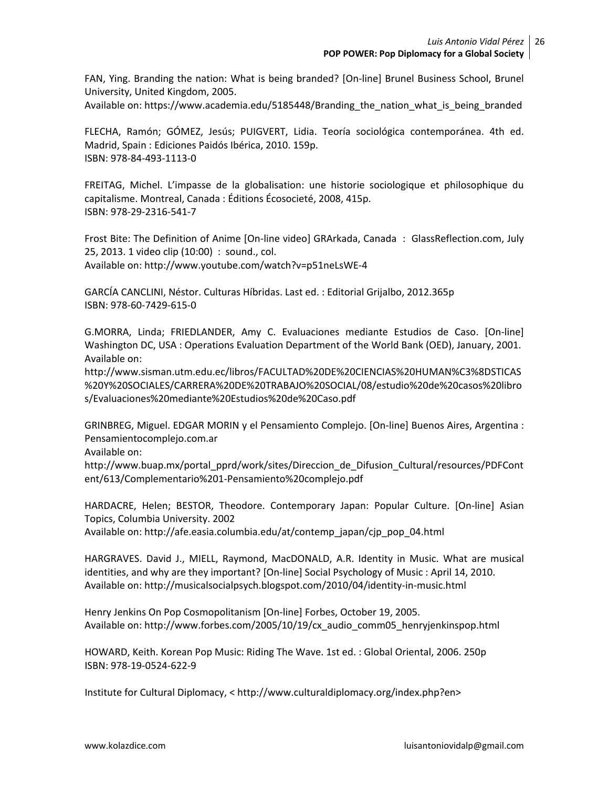FAN, Ying. Branding the nation: What is being branded? [On-line] Brunel Business School, Brunel University, United Kingdom, 2005.

Available on: https://www.academia.edu/5185448/Branding\_the\_nation\_what\_is\_being\_branded

FLECHA, Ramón; GÓMEZ, Jesús; PUIGVERT, Lidia. Teoría sociológica contemporánea. 4th ed. Madrid, Spain : Ediciones Paidós Ibérica, 2010. 159p. ISBN: 978-84-493-1113-0

FREITAG, Michel. L'impasse de la globalisation: une historie sociologique et philosophique du capitalisme. Montreal, Canada : Éditions Écosocieté, 2008, 415p. ISBN: 978-29-2316-541-7

Frost Bite: The Definition of Anime [On-line video] GRArkada, Canada : GlassReflection.com, July 25, 2013. 1 video clip (10:00) : sound., col. Available on: http://www.youtube.com/watch?v=p51neLsWE-4

GARCÍA CANCLINI, Néstor. Culturas Híbridas. Last ed. : Editorial Grijalbo, 2012.365p ISBN: 978-60-7429-615-0

G.MORRA, Linda; FRIEDLANDER, Amy C. Evaluaciones mediante Estudios de Caso. [On-line] Washington DC, USA : Operations Evaluation Department of the World Bank (OED), January, 2001. Available on:

http://www.sisman.utm.edu.ec/libros/FACULTAD%20DE%20CIENCIAS%20HUMAN%C3%8DSTICAS %20Y%20SOCIALES/CARRERA%20DE%20TRABAJO%20SOCIAL/08/estudio%20de%20casos%20libro s/Evaluaciones%20mediante%20Estudios%20de%20Caso.pdf

GRINBREG, Miguel. EDGAR MORIN y el Pensamiento Complejo. [On-line] Buenos Aires, Argentina : Pensamientocomplejo.com.ar

Available on:

http://www.buap.mx/portal\_pprd/work/sites/Direccion\_de\_Difusion\_Cultural/resources/PDFCont ent/613/Complementario%201-Pensamiento%20complejo.pdf

HARDACRE, Helen; BESTOR, Theodore. Contemporary Japan: Popular Culture. [On-line] Asian Topics, Columbia University. 2002

Available on: http://afe.easia.columbia.edu/at/contemp\_japan/cjp\_pop\_04.html

HARGRAVES. David J., MIELL, Raymond, MacDONALD, A.R. Identity in Music. What are musical identities, and why are they important? [On-line] Social Psychology of Music : April 14, 2010. Available on: http://musicalsocialpsych.blogspot.com/2010/04/identity-in-music.html

Henry Jenkins On Pop Cosmopolitanism [On-line] Forbes, October 19, 2005. Available on: http://www.forbes.com/2005/10/19/cx\_audio\_comm05\_henryjenkinspop.html

HOWARD, Keith. Korean Pop Music: Riding The Wave. 1st ed. : Global Oriental, 2006. 250p ISBN: 978-19-0524-622-9

Institute for Cultural Diplomacy, < http://www.culturaldiplomacy.org/index.php?en>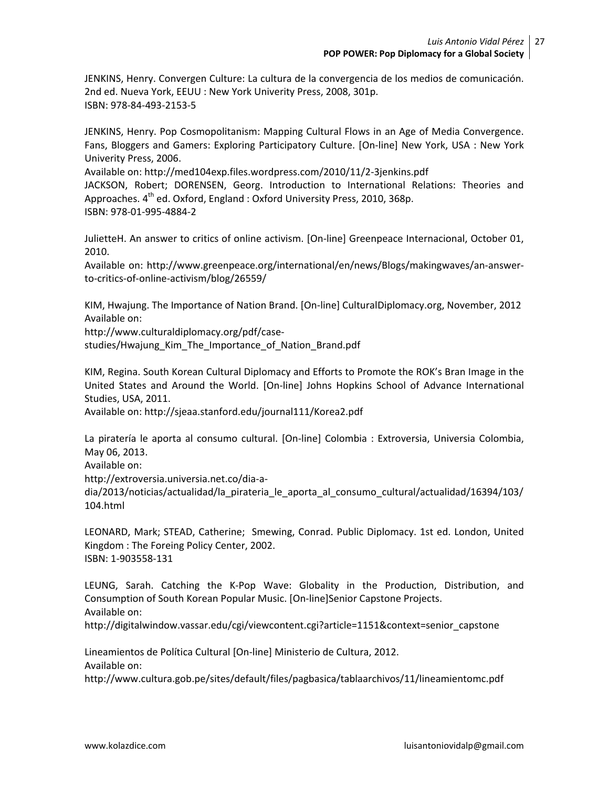JENKINS, Henry. Convergen Culture: La cultura de la convergencia de los medios de comunicación. 2nd ed. Nueva York, EEUU : New York Univerity Press, 2008, 301p. ISBN: 978-84-493-2153-5

JENKINS, Henry. Pop Cosmopolitanism: Mapping Cultural Flows in an Age of Media Convergence. Fans, Bloggers and Gamers: Exploring Participatory Culture. [On-line] New York, USA : New York Univerity Press, 2006.

Available on: http://med104exp.files.wordpress.com/2010/11/2-3jenkins.pdf JACKSON, Robert; DORENSEN, Georg. Introduction to International Relations: Theories and Approaches. 4<sup>th</sup> ed. Oxford, England : Oxford University Press, 2010, 368p. ISBN: 978-01-995-4884-2

JulietteH. An answer to critics of online activism. [On-line] Greenpeace Internacional, October 01, 2010.

Available on: http://www.greenpeace.org/international/en/news/Blogs/makingwaves/an-answerto-critics-of-online-activism/blog/26559/

KIM, Hwajung. The Importance of Nation Brand. [On-line] CulturalDiplomacy.org, November, 2012 Available on:

http://www.culturaldiplomacy.org/pdf/casestudies/Hwajung Kim The Importance of Nation Brand.pdf

KIM, Regina. South Korean Cultural Diplomacy and Efforts to Promote the ROK's Bran Image in the United States and Around the World. [On-line] Johns Hopkins School of Advance International Studies, USA, 2011.

Available on: http://sjeaa.stanford.edu/journal111/Korea2.pdf

La piratería le aporta al consumo cultural. [On-line] Colombia : Extroversia, Universia Colombia, May 06, 2013.

Available on:

http://extroversia.universia.net.co/dia-a-

dia/2013/noticias/actualidad/la\_pirateria\_le\_aporta\_al\_consumo\_cultural/actualidad/16394/103/ 104.html

LEONARD, Mark; STEAD, Catherine; Smewing, Conrad. Public Diplomacy. 1st ed. London, United Kingdom : The Foreing Policy Center, 2002. ISBN: 1-903558-131

LEUNG, Sarah. Catching the K-Pop Wave: Globality in the Production, Distribution, and Consumption of South Korean Popular Music. [On-line]Senior Capstone Projects. Available on:

http://digitalwindow.vassar.edu/cgi/viewcontent.cgi?article=1151&context=senior\_capstone

Lineamientos de Política Cultural [On-line] Ministerio de Cultura, 2012. Available on:

http://www.cultura.gob.pe/sites/default/files/pagbasica/tablaarchivos/11/lineamientomc.pdf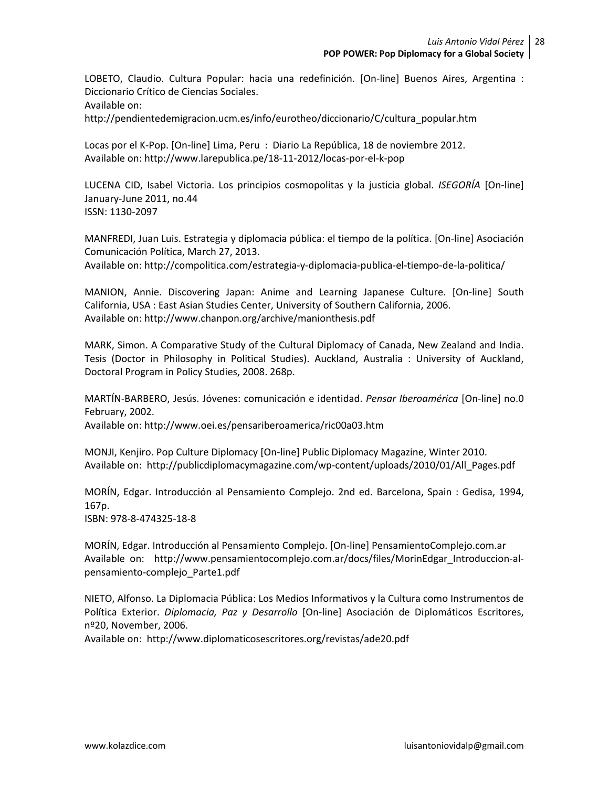LOBETO, Claudio. Cultura Popular: hacia una redefinición. [On-line] Buenos Aires, Argentina : Diccionario Crítico de Ciencias Sociales.

Available on:

http://pendientedemigracion.ucm.es/info/eurotheo/diccionario/C/cultura\_popular.htm

Locas por el K-Pop. [On-line] Lima, Peru : Diario La República, 18 de noviembre 2012. Available on: http://www.larepublica.pe/18-11-2012/locas-por-el-k-pop

LUCENA CID, Isabel Victoria. Los principios cosmopolitas y la justicia global. *ISEGORÍA* [On-line] January-June 2011, no.44 ISSN: 1130-2097

MANFREDI, Juan Luis. Estrategia y diplomacia pública: el tiempo de la política. [On-line] Asociación Comunicación Política, March 27, 2013.

Available on: http://compolitica.com/estrategia-y-diplomacia-publica-el-tiempo-de-la-politica/

MANION, Annie. Discovering Japan: Anime and Learning Japanese Culture. [On-line] South California, USA : East Asian Studies Center, University of Southern California, 2006. Available on: http://www.chanpon.org/archive/manionthesis.pdf

MARK, Simon. A Comparative Study of the Cultural Diplomacy of Canada, New Zealand and India. Tesis (Doctor in Philosophy in Political Studies). Auckland, Australia : University of Auckland, Doctoral Program in Policy Studies, 2008. 268p.

MARTÍN-BARBERO, Jesús. Jóvenes: comunicación e identidad. *Pensar Iberoamérica* [On-line] no.0 February, 2002.

Available on: http://www.oei.es/pensariberoamerica/ric00a03.htm

MONJI, Kenjiro. Pop Culture Diplomacy [On-line] Public Diplomacy Magazine, Winter 2010. Available on: http://publicdiplomacymagazine.com/wp-content/uploads/2010/01/All\_Pages.pdf

MORÍN, Edgar. Introducción al Pensamiento Complejo. 2nd ed. Barcelona, Spain : Gedisa, 1994, 167p.

ISBN: 978-8-474325-18-8

MORÍN, Edgar. Introducción al Pensamiento Complejo. [On-line] PensamientoComplejo.com.ar Available on: http://www.pensamientocomplejo.com.ar/docs/files/MorinEdgar\_Introduccion-alpensamiento-complejo\_Parte1.pdf

NIETO, Alfonso. La Diplomacia Pública: Los Medios Informativos y la Cultura como Instrumentos de Política Exterior. *Diplomacia, Paz y Desarrollo* [On-line] Asociación de Diplomáticos Escritores, nº20, November, 2006.

Available on: http://www.diplomaticosescritores.org/revistas/ade20.pdf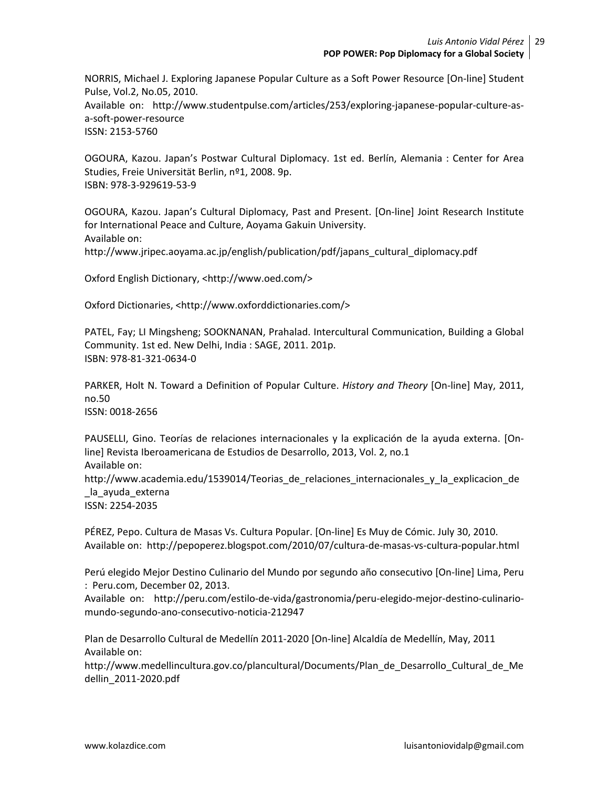NORRIS, Michael J. Exploring Japanese Popular Culture as a Soft Power Resource [On-line] Student Pulse, Vol.2, No.05, 2010. Available on: http://www.studentpulse.com/articles/253/exploring-japanese-popular-culture-asa-soft-power-resource ISSN: 2153-5760

OGOURA, Kazou. Japan's Postwar Cultural Diplomacy. 1st ed. Berlín, Alemania : Center for Area Studies, Freie Universität Berlin, nº1, 2008. 9p. ISBN: 978-3-929619-53-9

OGOURA, Kazou. Japan's Cultural Diplomacy, Past and Present. [On-line] Joint Research Institute for International Peace and Culture, Aoyama Gakuin University. Available on: http://www.jripec.aoyama.ac.jp/english/publication/pdf/japans\_cultural\_diplomacy.pdf

Oxford English Dictionary, <http://www.oed.com/>

Oxford Dictionaries, <http://www.oxforddictionaries.com/>

PATEL, Fay; LI Mingsheng; SOOKNANAN, Prahalad. Intercultural Communication, Building a Global Community. 1st ed. New Delhi, India : SAGE, 2011. 201p. ISBN: 978-81-321-0634-0

PARKER, Holt N. Toward a Definition of Popular Culture. *History and Theory* [On-line] May, 2011, no.50

ISSN: 0018-2656

PAUSELLI, Gino. Teorías de relaciones internacionales y la explicación de la ayuda externa. [Online] Revista Iberoamericana de Estudios de Desarrollo, 2013, Vol. 2, no.1 Available on: http://www.academia.edu/1539014/Teorias\_de\_relaciones\_internacionales\_y\_la\_explicacion\_de \_la\_ayuda\_externa ISSN: 2254-2035

PÉREZ, Pepo. Cultura de Masas Vs. Cultura Popular. [On-line] Es Muy de Cómic. July 30, 2010. Available on: http://pepoperez.blogspot.com/2010/07/cultura-de-masas-vs-cultura-popular.html

Perú elegido Mejor Destino Culinario del Mundo por segundo año consecutivo [On-line] Lima, Peru : Peru.com, December 02, 2013.

Available on: http://peru.com/estilo-de-vida/gastronomia/peru-elegido-mejor-destino-culinariomundo-segundo-ano-consecutivo-noticia-212947

Plan de Desarrollo Cultural de Medellín 2011-2020 [On-line] Alcaldía de Medellín, May, 2011 Available on:

http://www.medellincultura.gov.co/plancultural/Documents/Plan\_de\_Desarrollo\_Cultural\_de\_Me dellin\_2011-2020.pdf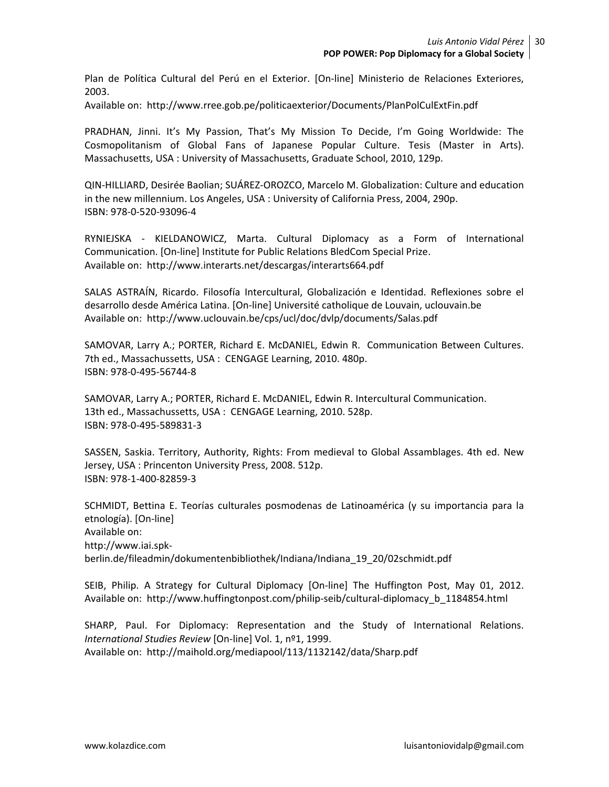Plan de Política Cultural del Perú en el Exterior. [On-line] Ministerio de Relaciones Exteriores, 2003.

Available on: http://www.rree.gob.pe/politicaexterior/Documents/PlanPolCulExtFin.pdf

PRADHAN, Jinni. It's My Passion, That's My Mission To Decide, I'm Going Worldwide: The Cosmopolitanism of Global Fans of Japanese Popular Culture. Tesis (Master in Arts). Massachusetts, USA : University of Massachusetts, Graduate School, 2010, 129p.

QIN-HILLIARD, Desirée Baolian; SUÁREZ-OROZCO, Marcelo M. Globalization: Culture and education in the new millennium. Los Angeles, USA : University of California Press, 2004, 290p. ISBN: 978-0-520-93096-4

RYNIEJSKA - KIELDANOWICZ, Marta. Cultural Diplomacy as a Form of International Communication. [On-line] Institute for Public Relations BledCom Special Prize. Available on: http://www.interarts.net/descargas/interarts664.pdf

SALAS ASTRAÍN, Ricardo. Filosofía Intercultural, Globalización e Identidad. Reflexiones sobre el desarrollo desde América Latina. [On-line] Université catholique de Louvain, uclouvain.be Available on: http://www.uclouvain.be/cps/ucl/doc/dvlp/documents/Salas.pdf

SAMOVAR, Larry A.; PORTER, Richard E. McDANIEL, Edwin R. Communication Between Cultures. 7th ed., Massachussetts, USA : CENGAGE Learning, 2010. 480p. ISBN: 978-0-495-56744-8

SAMOVAR, Larry A.; PORTER, Richard E. McDANIEL, Edwin R. Intercultural Communication. 13th ed., Massachussetts, USA : CENGAGE Learning, 2010. 528p. ISBN: 978-0-495-589831-3

SASSEN, Saskia. Territory, Authority, Rights: From medieval to Global Assamblages. 4th ed. New Jersey, USA : Princenton University Press, 2008. 512p. ISBN: 978-1-400-82859-3

SCHMIDT, Bettina E. Teorías culturales posmodenas de Latinoamérica (y su importancia para la etnología). [On-line] Available on: http://www.iai.spkberlin.de/fileadmin/dokumentenbibliothek/Indiana/Indiana\_19\_20/02schmidt.pdf

SEIB, Philip. A Strategy for Cultural Diplomacy [On-line] The Huffington Post, May 01, 2012. Available on: http://www.huffingtonpost.com/philip-seib/cultural-diplomacy\_b\_1184854.html

SHARP, Paul. For Diplomacy: Representation and the Study of International Relations. *International Studies Review* [On-line] Vol. 1, nº1, 1999. Available on: http://maihold.org/mediapool/113/1132142/data/Sharp.pdf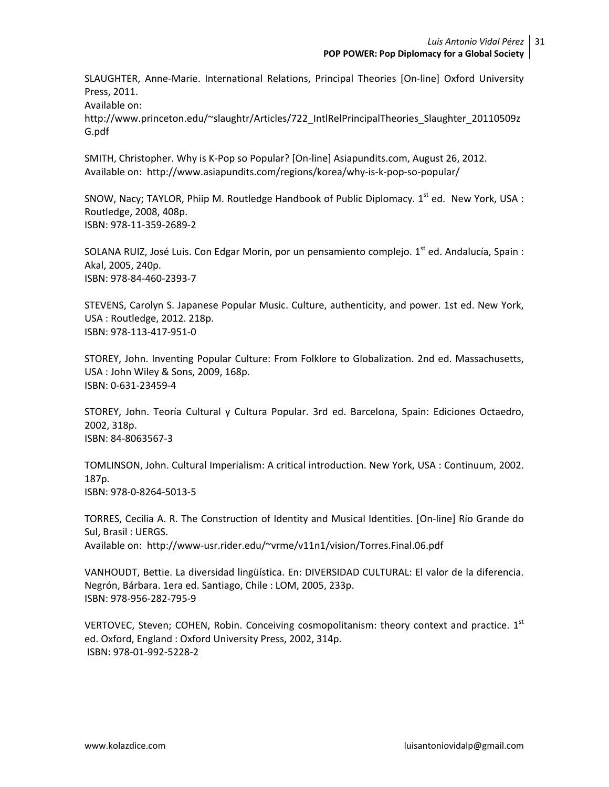SLAUGHTER, Anne-Marie. International Relations, Principal Theories [On-line] Oxford University Press, 2011.

Available on:

http://www.princeton.edu/~slaughtr/Articles/722\_IntlRelPrincipalTheories\_Slaughter\_20110509z G.pdf

SMITH, Christopher. Why is K-Pop so Popular? [On-line] Asiapundits.com, August 26, 2012. Available on: http://www.asiapundits.com/regions/korea/why-is-k-pop-so-popular/

SNOW, Nacy; TAYLOR, Phiip M. Routledge Handbook of Public Diplomacy.  $1<sup>st</sup>$  ed. New York, USA : Routledge, 2008, 408p. ISBN: 978-11-359-2689-2

SOLANA RUIZ, José Luis. Con Edgar Morin, por un pensamiento complejo. 1<sup>st</sup> ed. Andalucía, Spain : Akal, 2005, 240p. ISBN: 978-84-460-2393-7

STEVENS, Carolyn S. Japanese Popular Music. Culture, authenticity, and power. 1st ed. New York, USA : Routledge, 2012. 218p. ISBN: 978-113-417-951-0

STOREY, John. Inventing Popular Culture: From Folklore to Globalization. 2nd ed. Massachusetts, USA : John Wiley & Sons, 2009, 168p. ISBN: 0-631-23459-4

STOREY, John. Teoría Cultural y Cultura Popular. 3rd ed. Barcelona, Spain: Ediciones Octaedro, 2002, 318p. ISBN: 84-8063567-3

TOMLINSON, John. Cultural Imperialism: A critical introduction. New York, USA : Continuum, 2002. 187p. ISBN: 978-0-8264-5013-5

TORRES, Cecilia A. R. The Construction of Identity and Musical Identities. [On-line] Río Grande do Sul, Brasil : UERGS. Available on: http://www-usr.rider.edu/~vrme/v11n1/vision/Torres.Final.06.pdf

VANHOUDT, Bettie. La diversidad lingüística. En: DIVERSIDAD CULTURAL: El valor de la diferencia. Negrón, Bárbara. 1era ed. Santiago, Chile : LOM, 2005, 233p. ISBN: 978-956-282-795-9

VERTOVEC, Steven; COHEN, Robin. Conceiving cosmopolitanism: theory context and practice. 1<sup>st</sup> ed. Oxford, England : Oxford University Press, 2002, 314p. ISBN: 978-01-992-5228-2